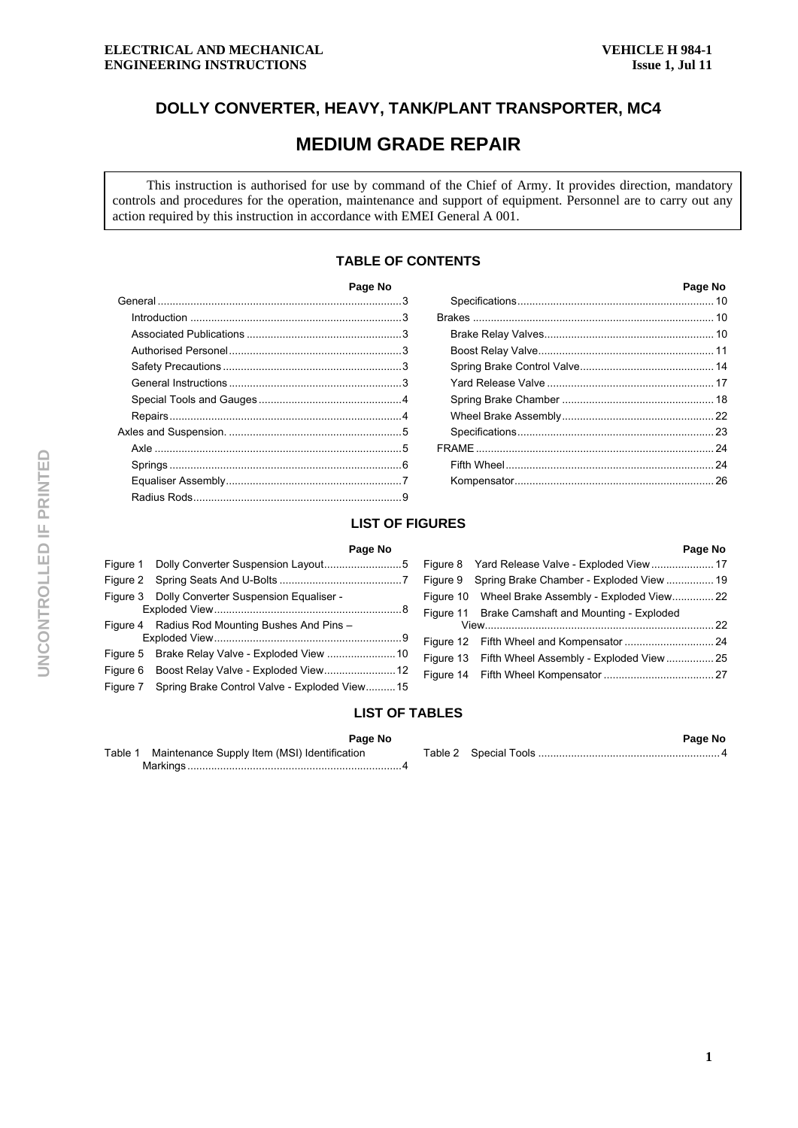# **DOLLY CONVERTER, HEAVY, TANK/PLANT TRANSPORTER, MC4**

# **MEDIUM GRADE REPAIR**

This instruction is authorised for use by command of the Chief of Army. It provides direction, mandatory controls and procedures for the operation, maintenance and support of equipment. Personnel are to carry out any action required by this instruction in accordance with EMEI General A 001.

# **TABLE OF CONTENTS**

#### **Page No Page No**

| Page No |
|---------|
|         |
|         |
|         |
|         |
|         |
|         |
|         |
|         |
|         |
|         |
|         |
|         |
|         |

# **LIST OF FIGURES**

#### **Page No Page No**

| Figure 3 Dolly Converter Suspension Equaliser -       |
|-------------------------------------------------------|
| Figure 4 Radius Rod Mounting Bushes And Pins -        |
|                                                       |
|                                                       |
| Figure 7 Spring Brake Control Valve - Exploded View15 |

|                                                   | Page No |
|---------------------------------------------------|---------|
|                                                   |         |
| Figure 9 Spring Brake Chamber - Exploded View  19 |         |
| Figure 10 Wheel Brake Assembly - Exploded View 22 |         |
| Figure 11 Brake Camshaft and Mounting - Exploded  |         |
|                                                   |         |
|                                                   |         |
|                                                   |         |
|                                                   |         |

# **LIST OF TABLES**

| חחו<br>٠ |  |
|----------|--|
|          |  |

Table 1 Maintenance Supply Item (MSI) Identification Markings........................................................................4

**Page No Page No** Table 2 Special Tools ............................................................. 4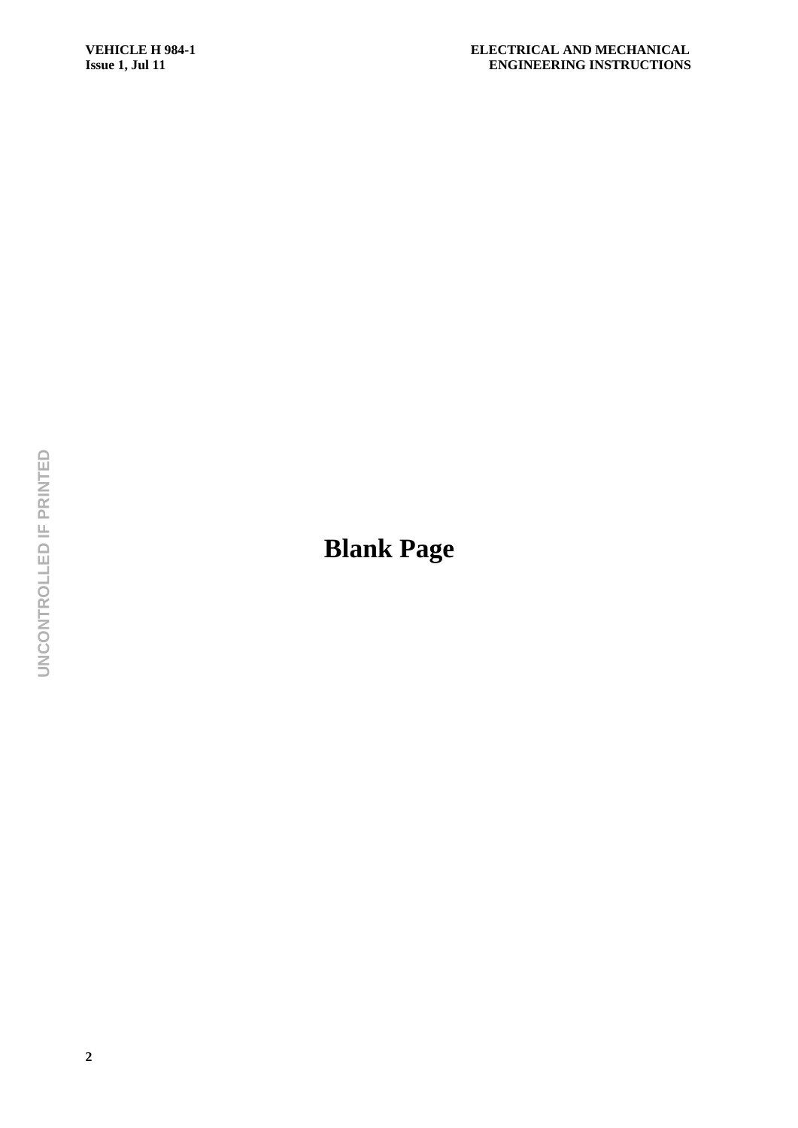# **Blank Page**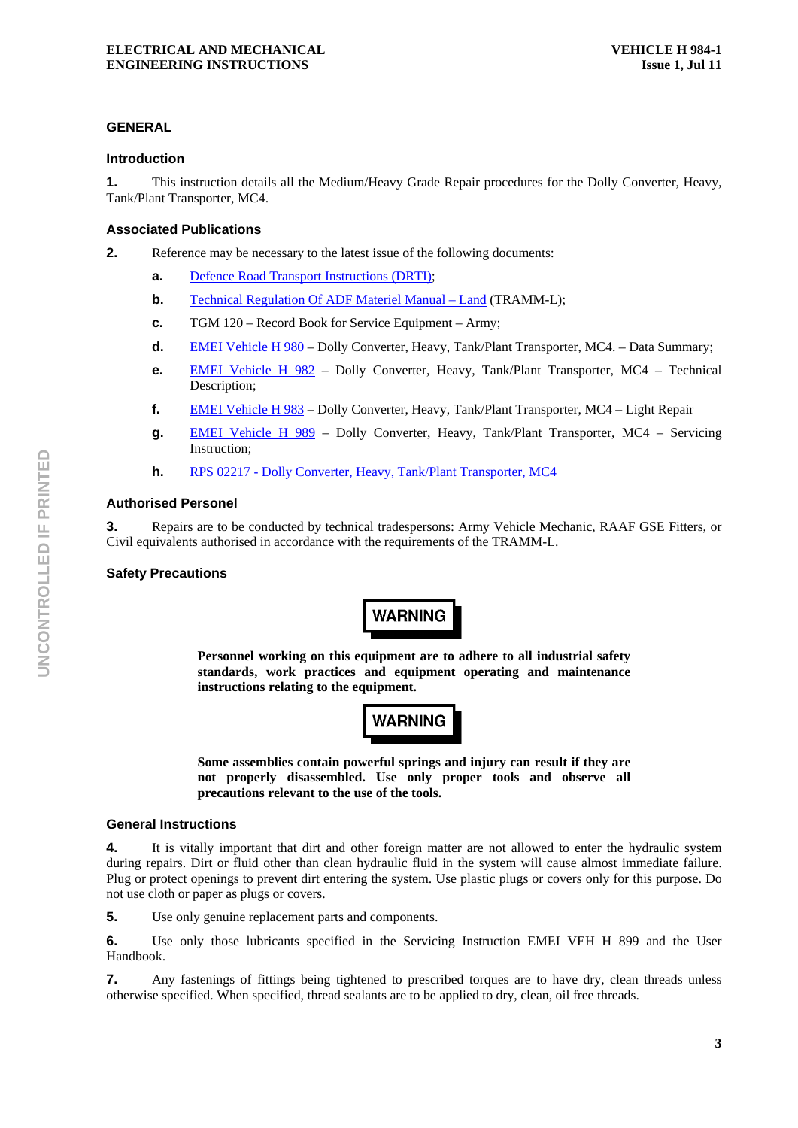# **GENERAL**

#### **Introduction**

**1.** This instruction details all the Medium/Heavy Grade Repair procedures for the Dolly Converter, Heavy, Tank/Plant Transporter, MC4.

# **Associated Publications**

- **2.** Reference may be necessary to the latest issue of the following documents:
	- **a.** Defence Road Transport Instructions (DRTI);
	- **b.** Technical Regulation Of ADF Materiel Manual Land (TRAMM-L);
	- **c.**  TGM 120 – Record Book for Service Equipment – Army;
	- **d.**  EMEI Vehicle H 980 – Dolly Converter, Heavy, Tank/Plant Transporter, MC4. – Data Summary;
	- **e.** EMEI Vehicle H 982 Dolly Converter, Heavy, Tank/Plant Transporter, MC4 Technical Description;
	- **f.** EMEI Vehicle H 983 Dolly Converter, Heavy, Tank/Plant Transporter, MC4 Light Repair
	- **g.** EMEI Vehicle H 989 Dolly Converter, Heavy, Tank/Plant Transporter, MC4 Servicing Instruction;
	- **h.** RPS 02217 Dolly Converter, Heavy, Tank/Plant Transporter, MC4

# **Authorised Personel**

**3.** Repairs are to be conducted by technical tradespersons: Army Vehicle Mechanic, RAAF GSE Fitters, or Civil equivalents authorised in accordance with the requirements of the TRAMM-L.

#### **Safety Precautions**



**Personnel working on this equipment are to adhere to all industrial safety standards, work practices and equipment operating and maintenance instructions relating to the equipment.** 

**WARNING** 

**Some assemblies contain powerful springs and injury can result if they are not properly disassembled. Use only proper tools and observe all precautions relevant to the use of the tools.** 

#### **General Instructions**

**4.** It is vitally important that dirt and other foreign matter are not allowed to enter the hydraulic system during repairs. Dirt or fluid other than clean hydraulic fluid in the system will cause almost immediate failure. Plug or protect openings to prevent dirt entering the system. Use plastic plugs or covers only for this purpose. Do not use cloth or paper as plugs or covers.

**5.** Use only genuine replacement parts and components.

**6.** Use only those lubricants specified in the Servicing Instruction EMEI VEH H 899 and the User Handbook.

**7.** Any fastenings of fittings being tightened to prescribed torques are to have dry, clean threads unless otherwise specified. When specified, thread sealants are to be applied to dry, clean, oil free threads.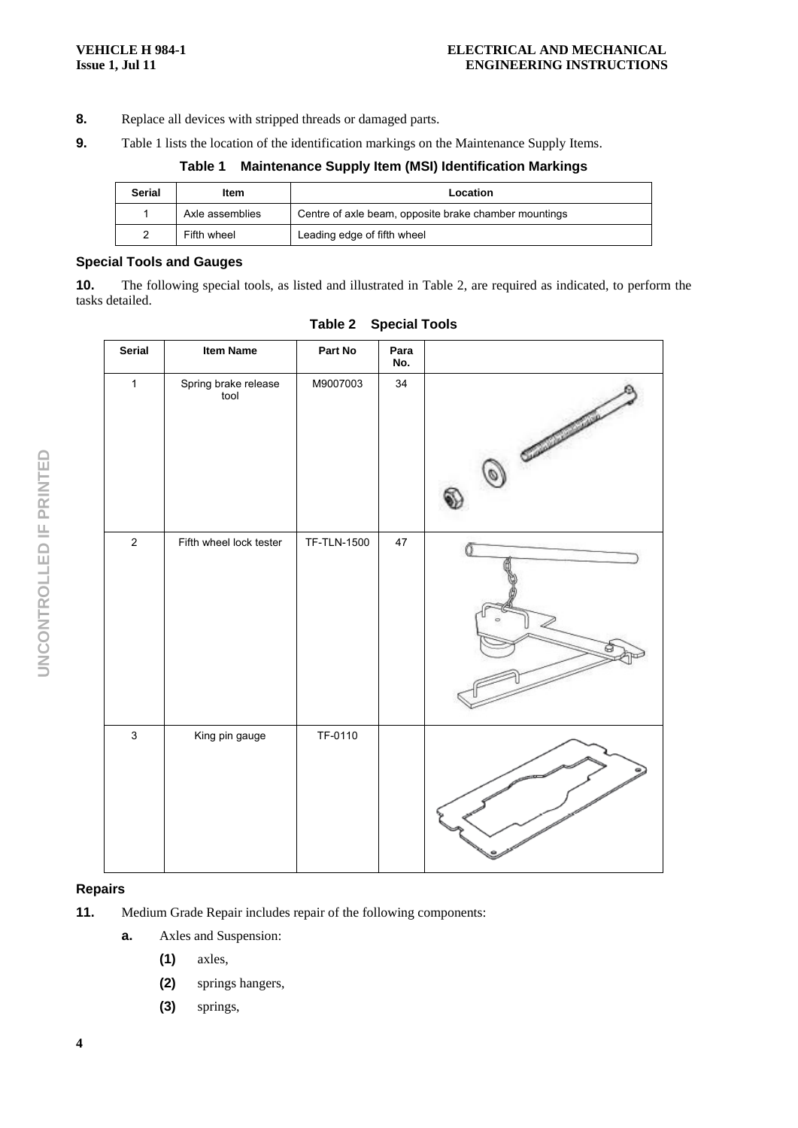- **8.** Replace all devices with stripped threads or damaged parts.
- **9.** Table 1 lists the location of the identification markings on the Maintenance Supply Items.

**Table 1 Maintenance Supply Item (MSI) Identification Markings** 

| <b>Serial</b><br>Location<br>Item |                 |                                                       |
|-----------------------------------|-----------------|-------------------------------------------------------|
|                                   | Axle assemblies | Centre of axle beam, opposite brake chamber mountings |
|                                   | Fifth wheel     | Leading edge of fifth wheel                           |

# **Special Tools and Gauges**

**10.** The following special tools, as listed and illustrated in Table 2, are required as indicated, to perform the tasks detailed.

| Serial         | <b>Item Name</b>             | Part No     | Para<br>No. |       |
|----------------|------------------------------|-------------|-------------|-------|
| $\mathbf{1}$   | Spring brake release<br>tool | M9007003    | 34          | Grand |
| $\overline{a}$ | Fifth wheel lock tester      | TF-TLN-1500 | $47\,$      |       |
| $\mathbf{3}$   | King pin gauge               | TF-0110     |             |       |

**Table 2 Special Tools** 

# **Repairs**

- **11.** Medium Grade Repair includes repair of the following components:
	- **a.** Axles and Suspension:
		- **(1)** axles,
		- **(2)** springs hangers,
		- **(3)** springs,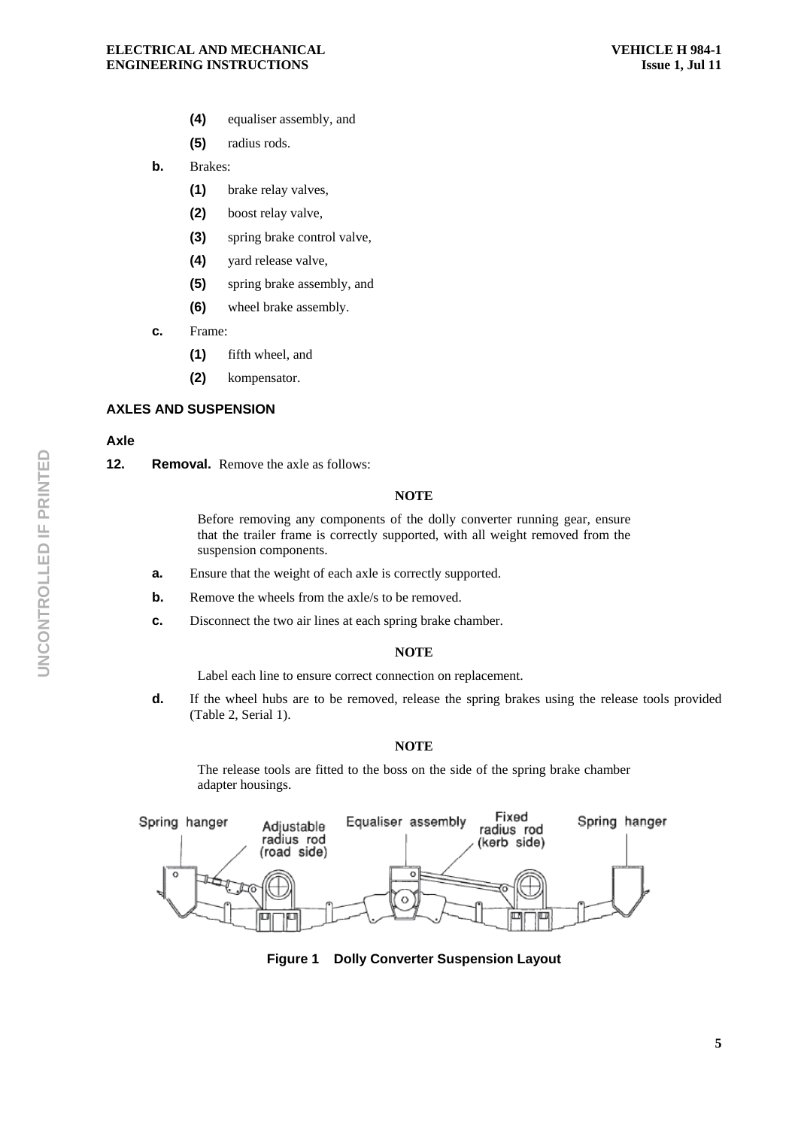- **(4)** equaliser assembly, and
- **(5)** radius rods.
- **b.**  Brakes:
	- **(1)** brake relay valves,
	- **(2)** boost relay valve,
	- **(3)** spring brake control valve,
	- **(4)** yard release valve,
	- **(5)** spring brake assembly, and
	- **(6)** wheel brake assembly.
- **c.**  Frame:
	- **(1)** fifth wheel, and
	- **(2)** kompensator.

# **AXLES AND SUSPENSION**

# **Axle**

**12.** Removal. Remove the axle as follows:

# **NOTE**

Before removing any components of the dolly converter running gear, ensure that the trailer frame is correctly supported, with all weight removed from the suspension components.

- **a.**  Ensure that the weight of each axle is correctly supported.
- **b.**  Remove the wheels from the axle/s to be removed.
- **c.**  Disconnect the two air lines at each spring brake chamber.

# **NOTE**

Label each line to ensure correct connection on replacement.

**d.**  If the wheel hubs are to be removed, release the spring brakes using the release tools provided (Table 2, Serial 1).

# **NOTE**

The release tools are fitted to the boss on the side of the spring brake chamber adapter housings.



**Figure 1 Dolly Converter Suspension Layout**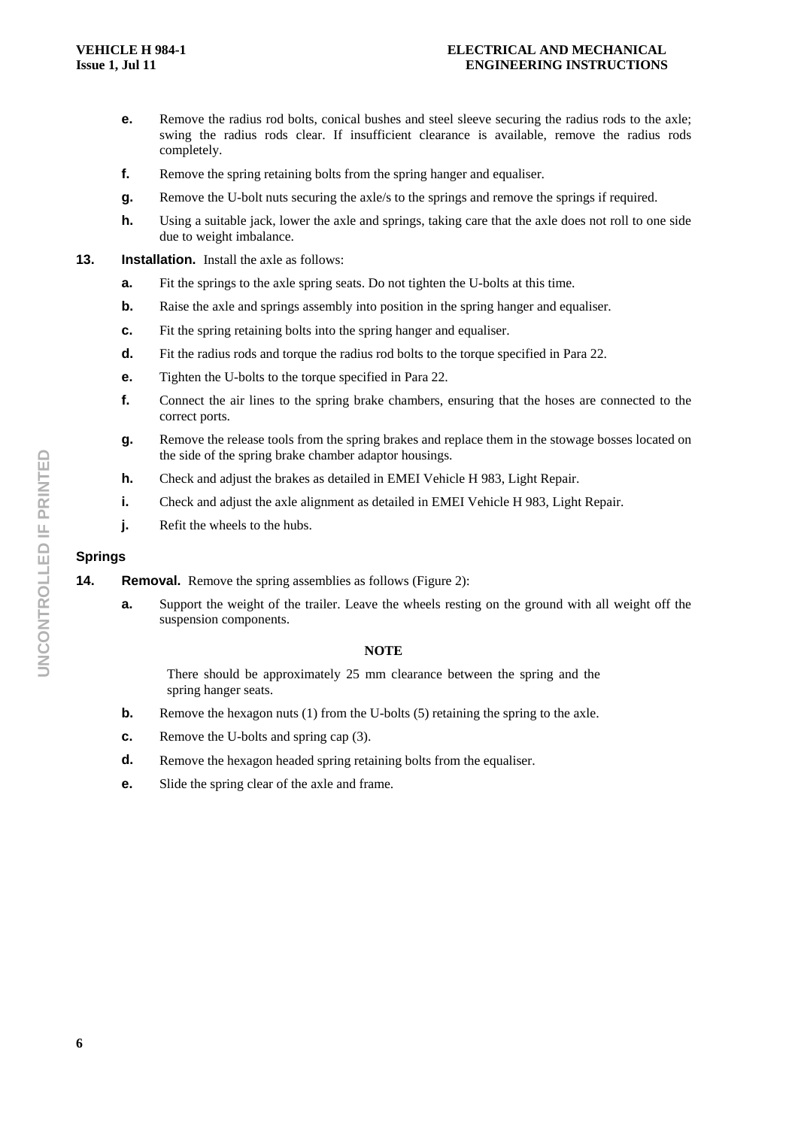- **e.**  Remove the radius rod bolts, conical bushes and steel sleeve securing the radius rods to the axle; swing the radius rods clear. If insufficient clearance is available, remove the radius rods completely.
- **f.**  Remove the spring retaining bolts from the spring hanger and equaliser.
- **g.**  Remove the U-bolt nuts securing the axle/s to the springs and remove the springs if required.
- **h.**  Using a suitable jack, lower the axle and springs, taking care that the axle does not roll to one side due to weight imbalance.
- **13. Installation.** Install the axle as follows:
	- **a.**  Fit the springs to the axle spring seats. Do not tighten the U-bolts at this time.
	- **b.**  Raise the axle and springs assembly into position in the spring hanger and equaliser.
	- **c.**  Fit the spring retaining bolts into the spring hanger and equaliser.
	- **d.**  Fit the radius rods and torque the radius rod bolts to the torque specified in Para 22.
	- **e.**  Tighten the U-bolts to the torque specified in Para 22.
	- **f.**  Connect the air lines to the spring brake chambers, ensuring that the hoses are connected to the correct ports.
	- **g.**  Remove the release tools from the spring brakes and replace them in the stowage bosses located on the side of the spring brake chamber adaptor housings.
	- **h.**  Check and adjust the brakes as detailed in EMEI Vehicle H 983, Light Repair.
	- **i.**  Check and adjust the axle alignment as detailed in EMEI Vehicle H 983, Light Repair.
	- **j.**  Refit the wheels to the hubs.

# **Springs**

- **14.** Removal. Remove the spring assemblies as follows (Figure 2):
	- **a.**  Support the weight of the trailer. Leave the wheels resting on the ground with all weight off the suspension components.

# **NOTE**

There should be approximately 25 mm clearance between the spring and the spring hanger seats.

- **b.**  Remove the hexagon nuts (1) from the U-bolts (5) retaining the spring to the axle.
- **c.**  Remove the U-bolts and spring cap (3).
- **d.**  Remove the hexagon headed spring retaining bolts from the equaliser.
- **e.**  Slide the spring clear of the axle and frame.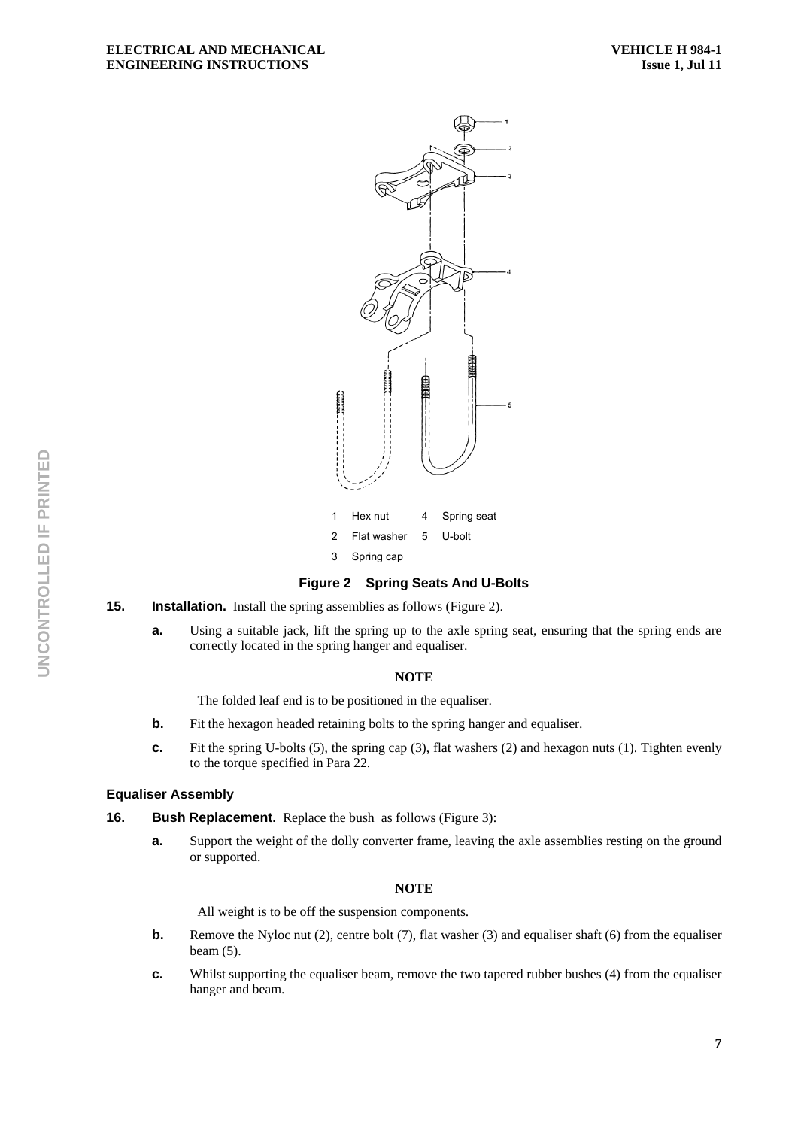

**Figure 2 Spring Seats And U-Bolts** 

- **15.** Installation. Install the spring assemblies as follows (Figure 2).
	- **a.**  Using a suitable jack, lift the spring up to the axle spring seat, ensuring that the spring ends are correctly located in the spring hanger and equaliser.

# **NOTE**

The folded leaf end is to be positioned in the equaliser.

- **b.**  Fit the hexagon headed retaining bolts to the spring hanger and equaliser.
- **c.**  Fit the spring U-bolts (5), the spring cap (3), flat washers (2) and hexagon nuts (1). Tighten evenly to the torque specified in Para 22.

# **Equaliser Assembly**

- **16.** Bush Replacement. Replace the bush as follows (Figure 3):
	- **a.**  Support the weight of the dolly converter frame, leaving the axle assemblies resting on the ground or supported.

# **NOTE**

All weight is to be off the suspension components.

- **b.**  Remove the Nyloc nut (2), centre bolt (7), flat washer (3) and equaliser shaft (6) from the equaliser beam (5).
- **c.**  Whilst supporting the equaliser beam, remove the two tapered rubber bushes (4) from the equaliser hanger and beam.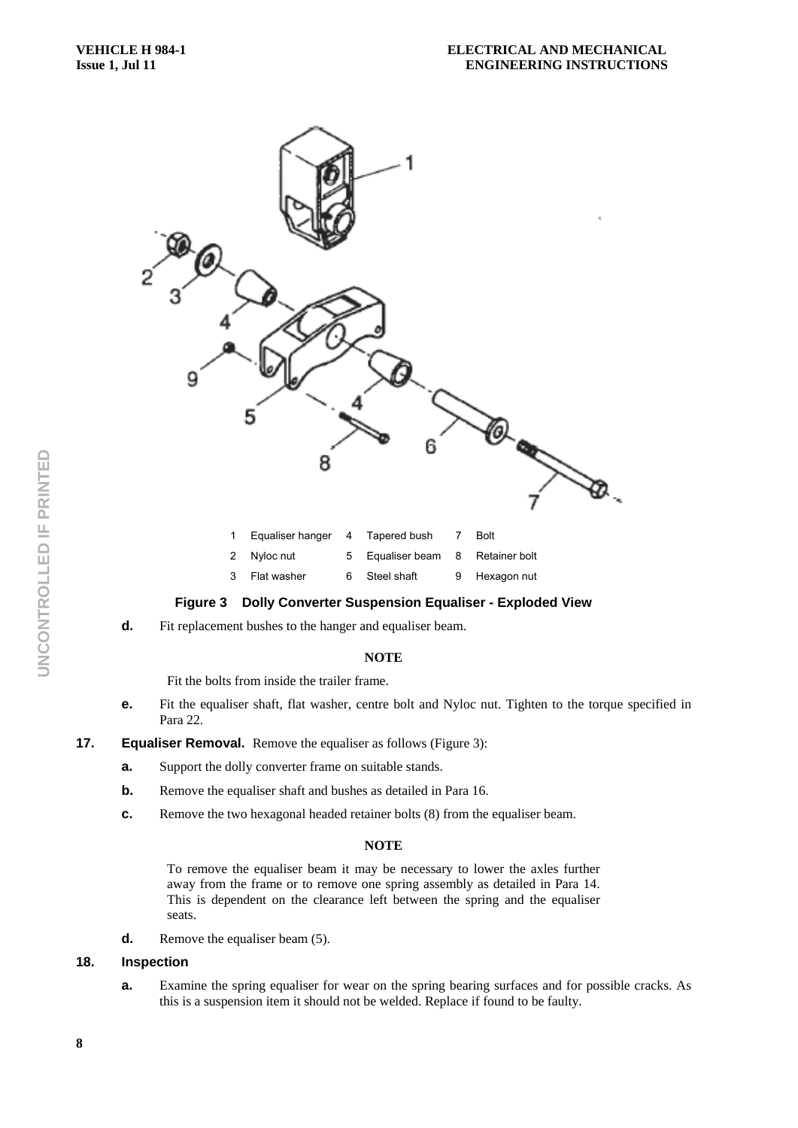

# **Figure 3 Dolly Converter Suspension Equaliser - Exploded View**

**d.**  Fit replacement bushes to the hanger and equaliser beam.

# **NOTE**

Fit the bolts from inside the trailer frame.

- **e.**  Fit the equaliser shaft, flat washer, centre bolt and Nyloc nut. Tighten to the torque specified in Para 22.
- **17.** Equaliser Removal. Remove the equaliser as follows (Figure 3):
	- **a.**  Support the dolly converter frame on suitable stands.
	- **b.**  Remove the equaliser shaft and bushes as detailed in Para 16.
	- **c.**  Remove the two hexagonal headed retainer bolts (8) from the equaliser beam.

# **NOTE**

To remove the equaliser beam it may be necessary to lower the axles further away from the frame or to remove one spring assembly as detailed in Para 14. This is dependent on the clearance left between the spring and the equaliser seats.

**d.**  Remove the equaliser beam (5).

# **18. Inspection**

**a.**  Examine the spring equaliser for wear on the spring bearing surfaces and for possible cracks. As this is a suspension item it should not be welded. Replace if found to be faulty.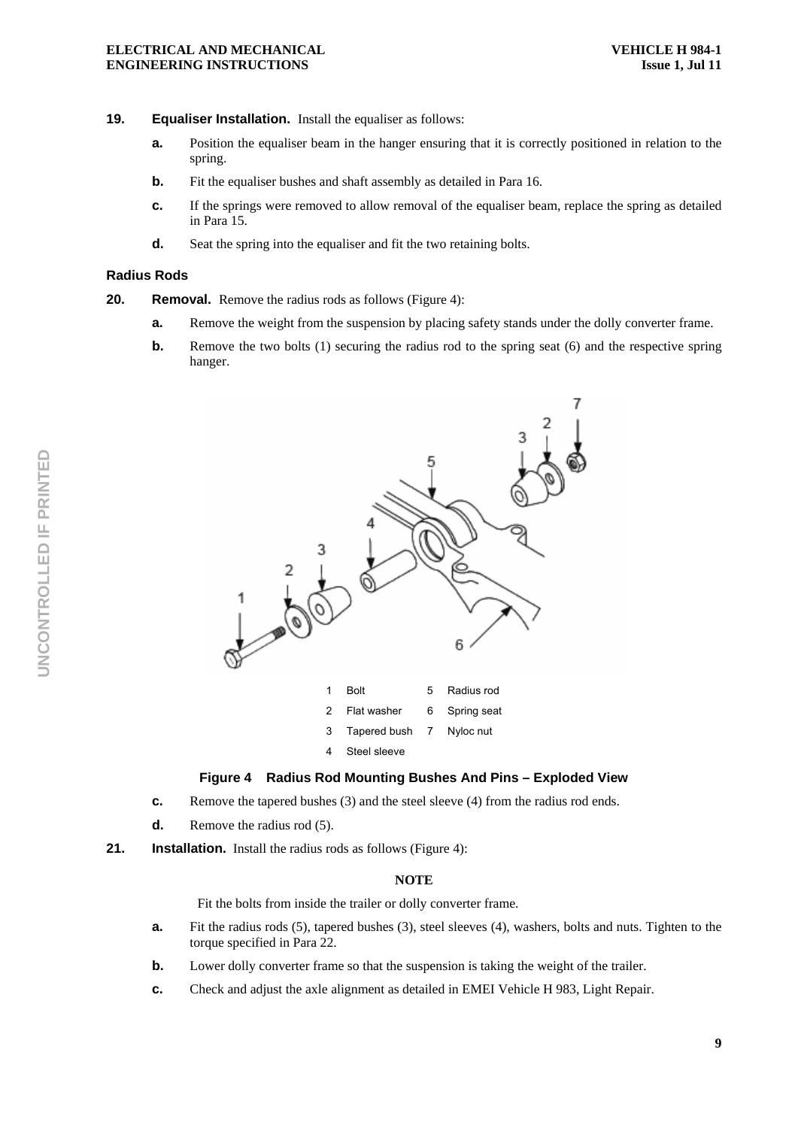# **19. Equaliser Installation.** Install the equaliser as follows:

- **a.**  Position the equaliser beam in the hanger ensuring that it is correctly positioned in relation to the spring.
- **b.**  Fit the equaliser bushes and shaft assembly as detailed in Para 16.
- **c.**  If the springs were removed to allow removal of the equaliser beam, replace the spring as detailed in Para 15.
- **d.**  Seat the spring into the equaliser and fit the two retaining bolts.

# **Radius Rods**

- **20.** Removal. Remove the radius rods as follows (Figure 4):
	- **a.**  Remove the weight from the suspension by placing safety stands under the dolly converter frame.
	- **b.**  Remove the two bolts (1) securing the radius rod to the spring seat (6) and the respective spring hanger.



# **Figure 4 Radius Rod Mounting Bushes And Pins – Exploded View**

- **c.**  Remove the tapered bushes (3) and the steel sleeve (4) from the radius rod ends.
- **d.**  Remove the radius rod (5).
- **21. Installation.** Install the radius rods as follows (Figure 4):

# **NOTE**

Fit the bolts from inside the trailer or dolly converter frame.

- **a.**  Fit the radius rods (5), tapered bushes (3), steel sleeves (4), washers, bolts and nuts. Tighten to the torque specified in Para 22.
- **b.**  Lower dolly converter frame so that the suspension is taking the weight of the trailer.
- **c.**  Check and adjust the axle alignment as detailed in EMEI Vehicle H 983, Light Repair.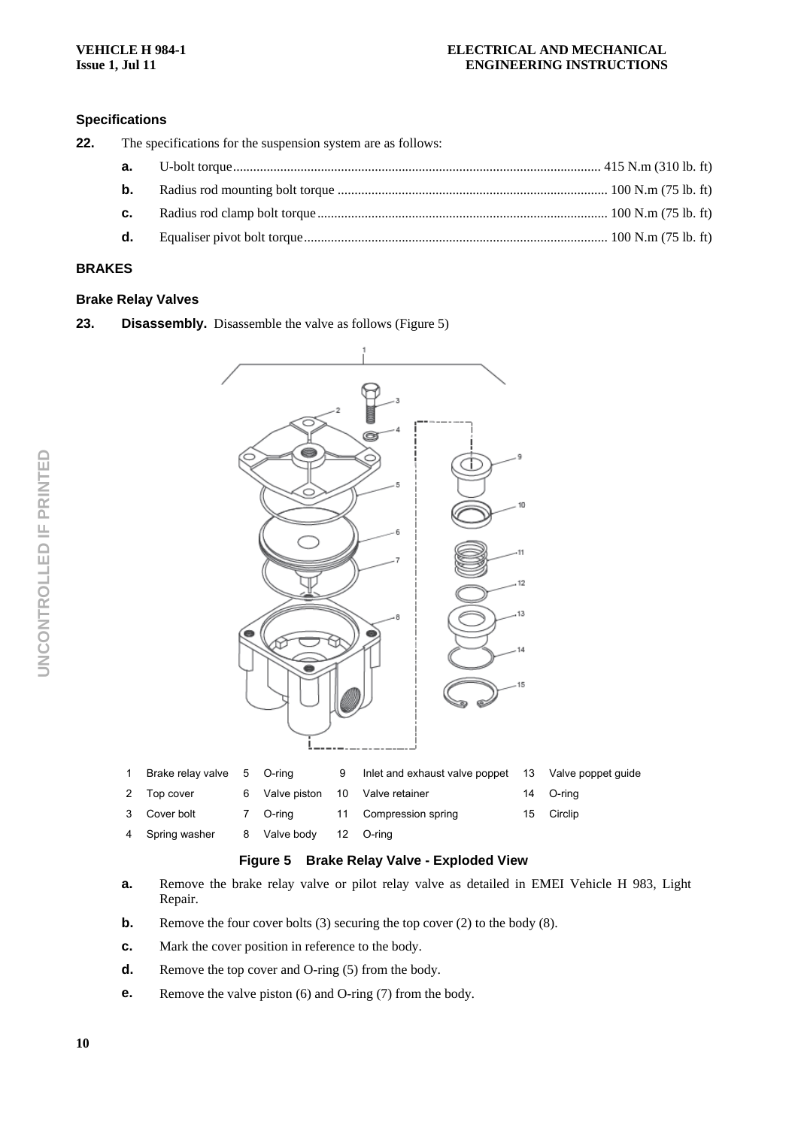# **Specifications**

| 22.<br>The specifications for the suspension system are as follows: |  |
|---------------------------------------------------------------------|--|
|---------------------------------------------------------------------|--|

# **BRAKES**

# **Brake Relay Valves**

**23. Disassembly.** Disassemble the valve as follows (Figure 5)



# **Figure 5 Brake Relay Valve - Exploded View**

- **a.**  Remove the brake relay valve or pilot relay valve as detailed in EMEI Vehicle H 983, Light Repair.
- **b.**  Remove the four cover bolts (3) securing the top cover (2) to the body (8).
- **c.**  Mark the cover position in reference to the body.
- **d.**  Remove the top cover and O-ring (5) from the body.
- **e.**  Remove the valve piston (6) and O-ring (7) from the body.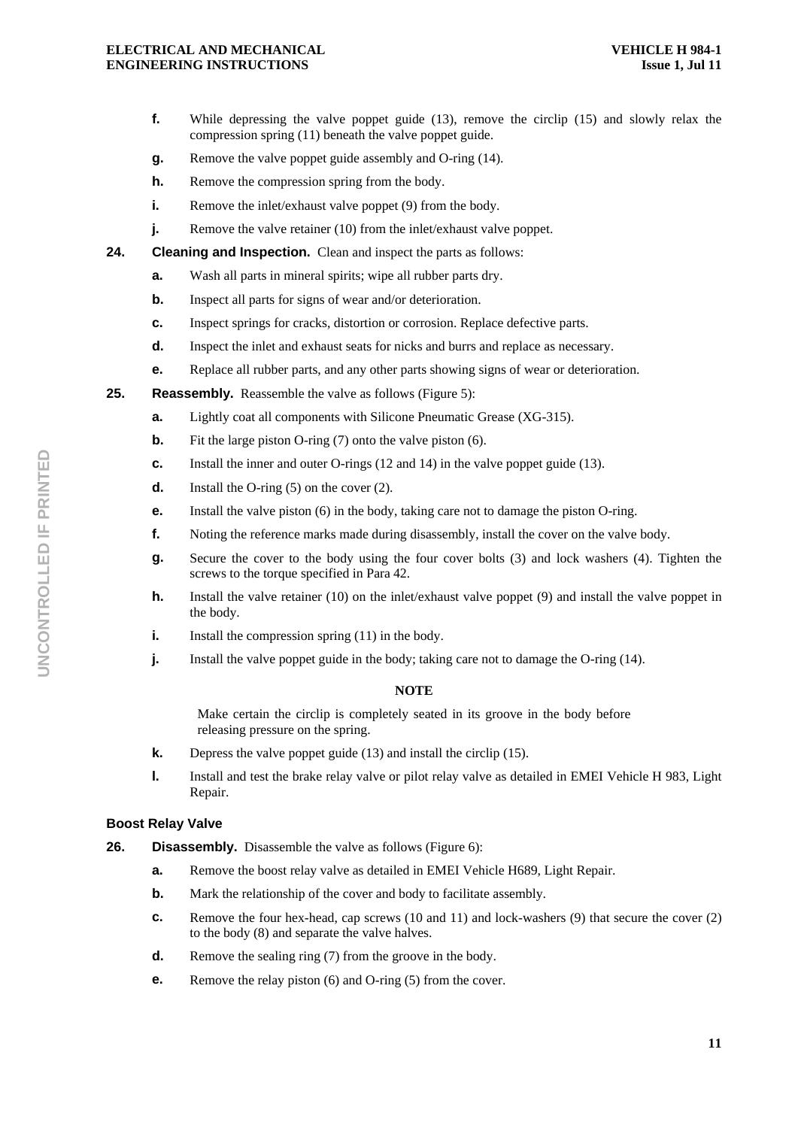- **f.**  While depressing the valve poppet guide (13), remove the circlip (15) and slowly relax the compression spring (11) beneath the valve poppet guide.
- **g.**  Remove the valve poppet guide assembly and O-ring (14).
- **h.**  Remove the compression spring from the body.
- **i.**  Remove the inlet/exhaust valve poppet (9) from the body.
- **j.**  Remove the valve retainer (10) from the inlet/exhaust valve poppet.
- **24. Cleaning and Inspection.** Clean and inspect the parts as follows:
	- **a.**  Wash all parts in mineral spirits; wipe all rubber parts dry.
	- **b.**  Inspect all parts for signs of wear and/or deterioration.
	- **c.**  Inspect springs for cracks, distortion or corrosion. Replace defective parts.
	- **d.**  Inspect the inlet and exhaust seats for nicks and burrs and replace as necessary.
	- **e.**  Replace all rubber parts, and any other parts showing signs of wear or deterioration.
- **25.** Reassembly. Reassemble the valve as follows (Figure 5):
	- **a.**  Lightly coat all components with Silicone Pneumatic Grease (XG-315).
	- **b.**  Fit the large piston O-ring (7) onto the valve piston (6).
	- **c.**  Install the inner and outer O-rings (12 and 14) in the valve poppet guide (13).
	- **d.**  Install the O-ring (5) on the cover (2).
	- **e.**  Install the valve piston (6) in the body, taking care not to damage the piston O-ring.
	- **f.**  Noting the reference marks made during disassembly, install the cover on the valve body.
	- **g.**  Secure the cover to the body using the four cover bolts (3) and lock washers (4). Tighten the screws to the torque specified in Para 42.
	- **h.**  Install the valve retainer (10) on the inlet/exhaust valve poppet (9) and install the valve poppet in the body.
	- **i.**  Install the compression spring (11) in the body.
	- **j.**  Install the valve poppet guide in the body; taking care not to damage the O-ring (14).

#### **NOTE**

Make certain the circlip is completely seated in its groove in the body before releasing pressure on the spring.

- **k.**  Depress the valve poppet guide (13) and install the circlip (15).
- **l.**  Install and test the brake relay valve or pilot relay valve as detailed in EMEI Vehicle H 983, Light Repair.

#### **Boost Relay Valve**

**26. Disassembly.** Disassemble the valve as follows (Figure 6):

- **a.**  Remove the boost relay valve as detailed in EMEI Vehicle H689, Light Repair.
- **b.**  Mark the relationship of the cover and body to facilitate assembly.
- **c.**  Remove the four hex-head, cap screws (10 and 11) and lock-washers (9) that secure the cover (2) to the body (8) and separate the valve halves.
- **d.**  Remove the sealing ring (7) from the groove in the body.
- **e.**  Remove the relay piston (6) and O-ring (5) from the cover.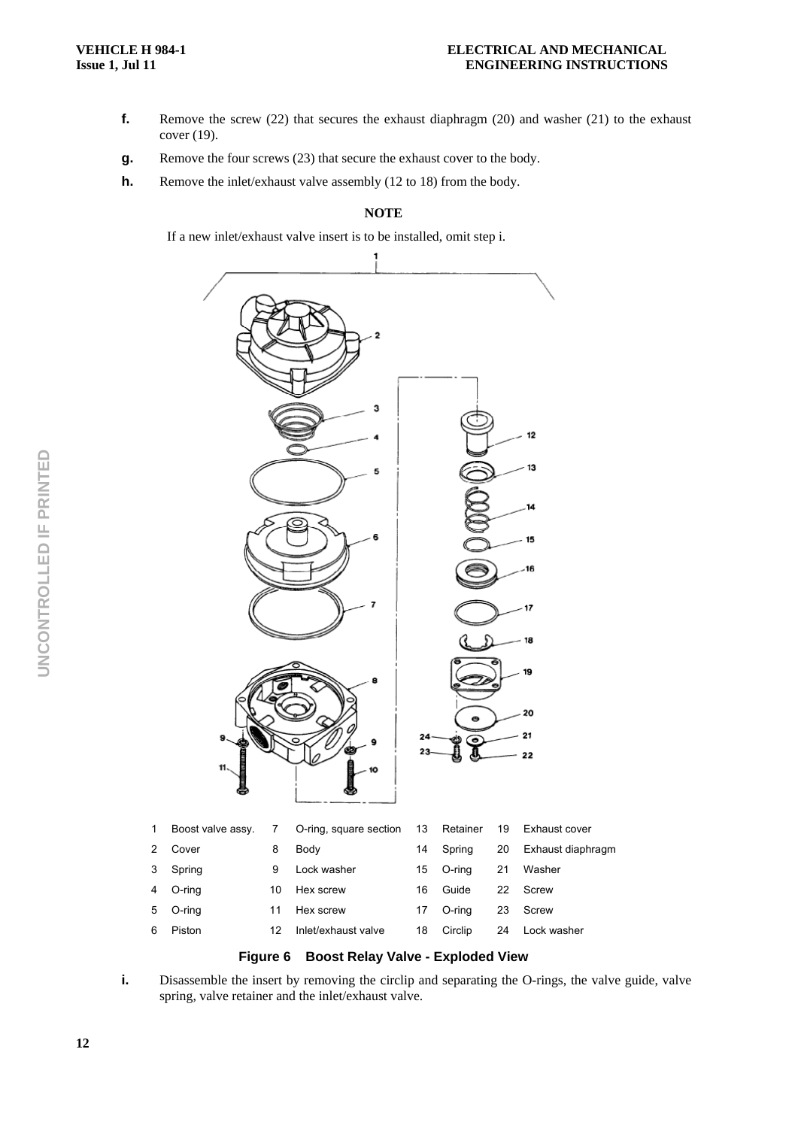- **f.**  Remove the screw (22) that secures the exhaust diaphragm (20) and washer (21) to the exhaust cover (19).
- **g.**  Remove the four screws (23) that secure the exhaust cover to the body.
- **h.**  Remove the inlet/exhaust valve assembly (12 to 18) from the body.

# **NOTE**

If a new inlet/exhaust valve insert is to be installed, omit step i.





**i.**  Disassemble the insert by removing the circlip and separating the O-rings, the valve guide, valve spring, valve retainer and the inlet/exhaust valve.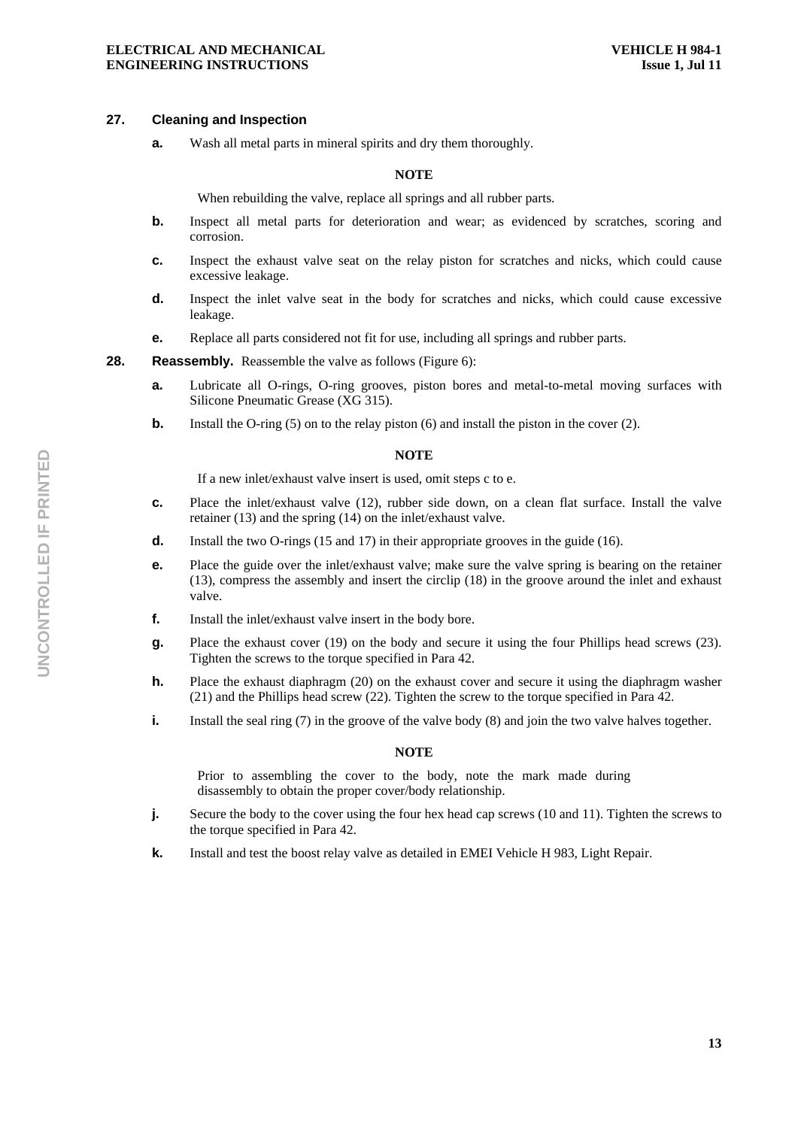# **27. Cleaning and Inspection**

**a.**  Wash all metal parts in mineral spirits and dry them thoroughly.

#### **NOTE**

When rebuilding the valve, replace all springs and all rubber parts.

- **b.**  Inspect all metal parts for deterioration and wear; as evidenced by scratches, scoring and corrosion.
- **c.**  Inspect the exhaust valve seat on the relay piston for scratches and nicks, which could cause excessive leakage.
- **d.**  Inspect the inlet valve seat in the body for scratches and nicks, which could cause excessive leakage.
- **e.**  Replace all parts considered not fit for use, including all springs and rubber parts.

#### **28. Reassembly.** Reassemble the valve as follows (Figure 6):

- **a.**  Lubricate all O-rings, O-ring grooves, piston bores and metal-to-metal moving surfaces with Silicone Pneumatic Grease (XG 315).
- **b.**  Install the O-ring (5) on to the relay piston (6) and install the piston in the cover (2).

#### **NOTE**

If a new inlet/exhaust valve insert is used, omit steps c to e.

- **c.**  Place the inlet/exhaust valve (12), rubber side down, on a clean flat surface. Install the valve retainer (13) and the spring (14) on the inlet/exhaust valve.
- **d.**  Install the two O-rings (15 and 17) in their appropriate grooves in the guide (16).
- **e.**  Place the guide over the inlet/exhaust valve; make sure the valve spring is bearing on the retainer (13), compress the assembly and insert the circlip (18) in the groove around the inlet and exhaust valve.
- **f.**  Install the inlet/exhaust valve insert in the body bore.
- **g.**  Place the exhaust cover (19) on the body and secure it using the four Phillips head screws (23). Tighten the screws to the torque specified in Para 42.
- **h.**  Place the exhaust diaphragm (20) on the exhaust cover and secure it using the diaphragm washer (21) and the Phillips head screw (22). Tighten the screw to the torque specified in Para 42.
- **i.**  Install the seal ring (7) in the groove of the valve body (8) and join the two valve halves together.

#### **NOTE**

Prior to assembling the cover to the body, note the mark made during disassembly to obtain the proper cover/body relationship.

- **j.**  Secure the body to the cover using the four hex head cap screws (10 and 11). Tighten the screws to the torque specified in Para 42.
- **k.**  Install and test the boost relay valve as detailed in EMEI Vehicle H 983, Light Repair.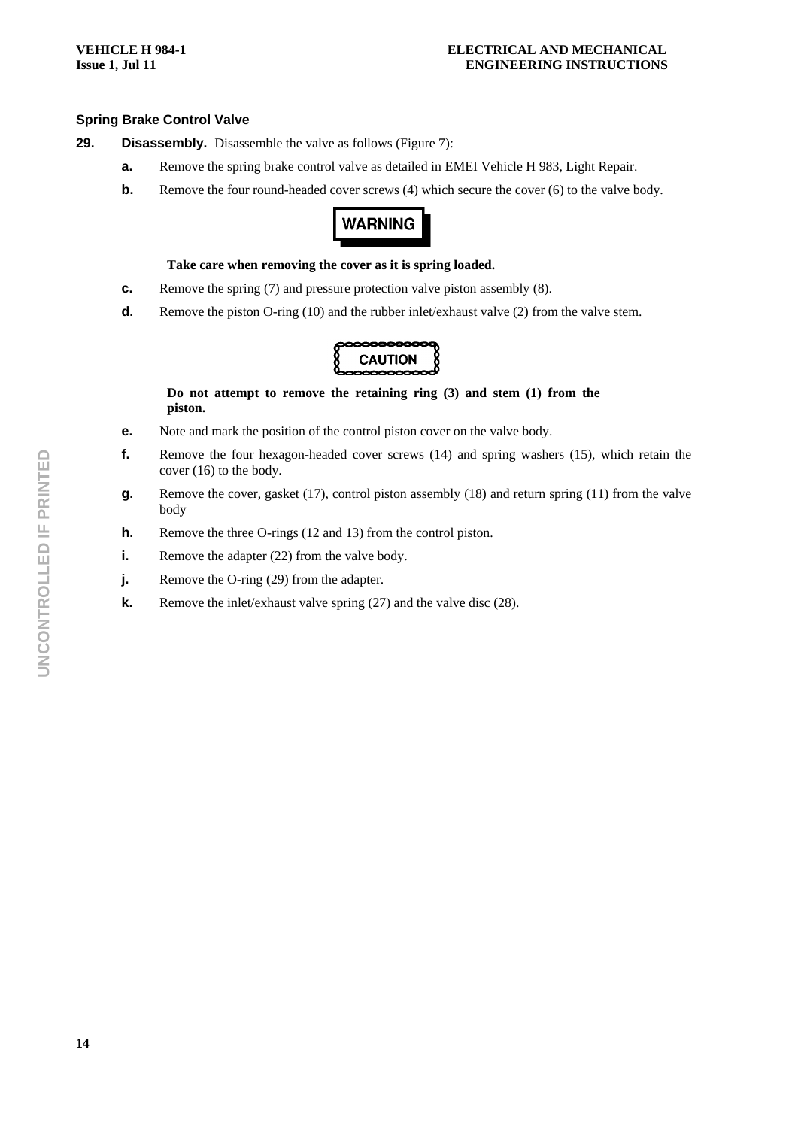# **Spring Brake Control Valve**

- **29. Disassembly.** Disassemble the valve as follows (Figure 7):
	- **a.**  Remove the spring brake control valve as detailed in EMEI Vehicle H 983, Light Repair.
	- **b.**  Remove the four round-headed cover screws (4) which secure the cover (6) to the valve body.



#### **Take care when removing the cover as it is spring loaded.**

- **c.**  Remove the spring (7) and pressure protection valve piston assembly (8).
- **d.**  Remove the piston O-ring (10) and the rubber inlet/exhaust valve (2) from the valve stem.



**Do not attempt to remove the retaining ring (3) and stem (1) from the piston.** 

- **e.**  Note and mark the position of the control piston cover on the valve body.
- **f.**  Remove the four hexagon-headed cover screws (14) and spring washers (15), which retain the cover (16) to the body.
- **g.**  Remove the cover, gasket (17), control piston assembly (18) and return spring (11) from the valve body
- **h.**  Remove the three O-rings (12 and 13) from the control piston.
- **i.**  Remove the adapter (22) from the valve body.
- **j.**  Remove the O-ring (29) from the adapter.
- **k.**  Remove the inlet/exhaust valve spring (27) and the valve disc (28).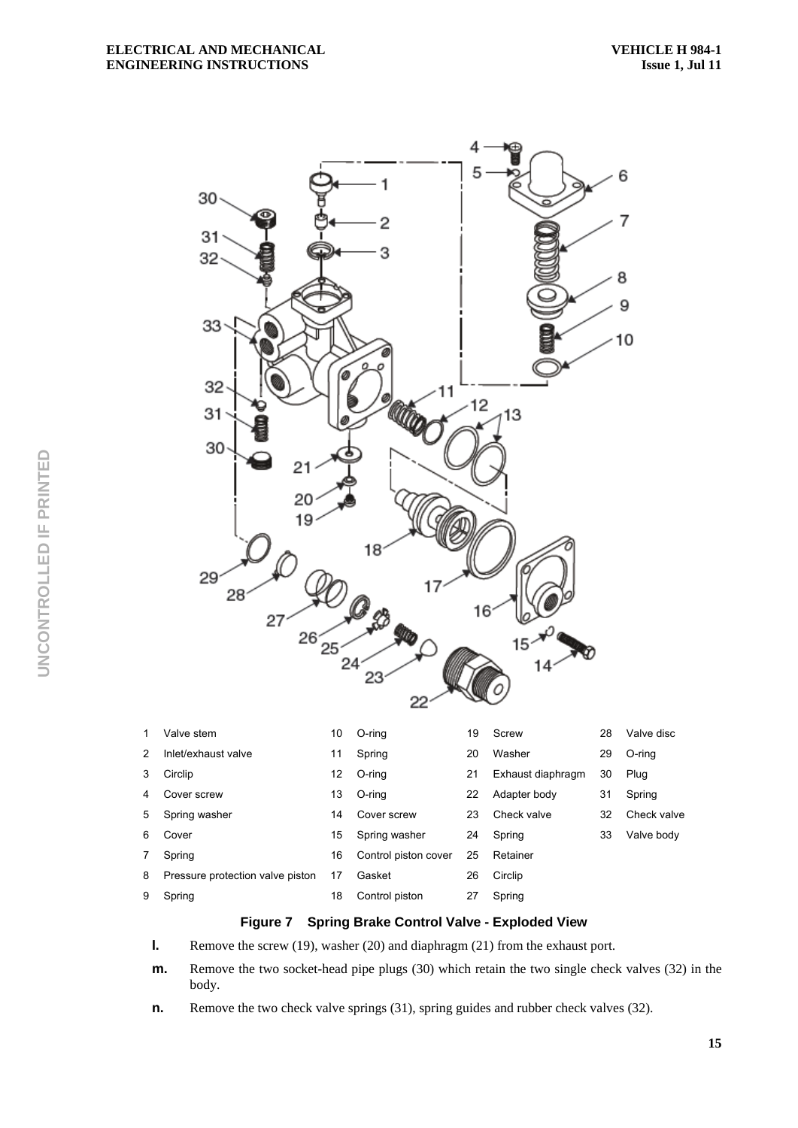

# **Figure 7 Spring Brake Control Valve - Exploded View**

- **l.**  Remove the screw (19), washer (20) and diaphragm (21) from the exhaust port.
- **m.**  Remove the two socket-head pipe plugs (30) which retain the two single check valves (32) in the body.
- **n.**  Remove the two check valve springs (31), spring guides and rubber check valves (32).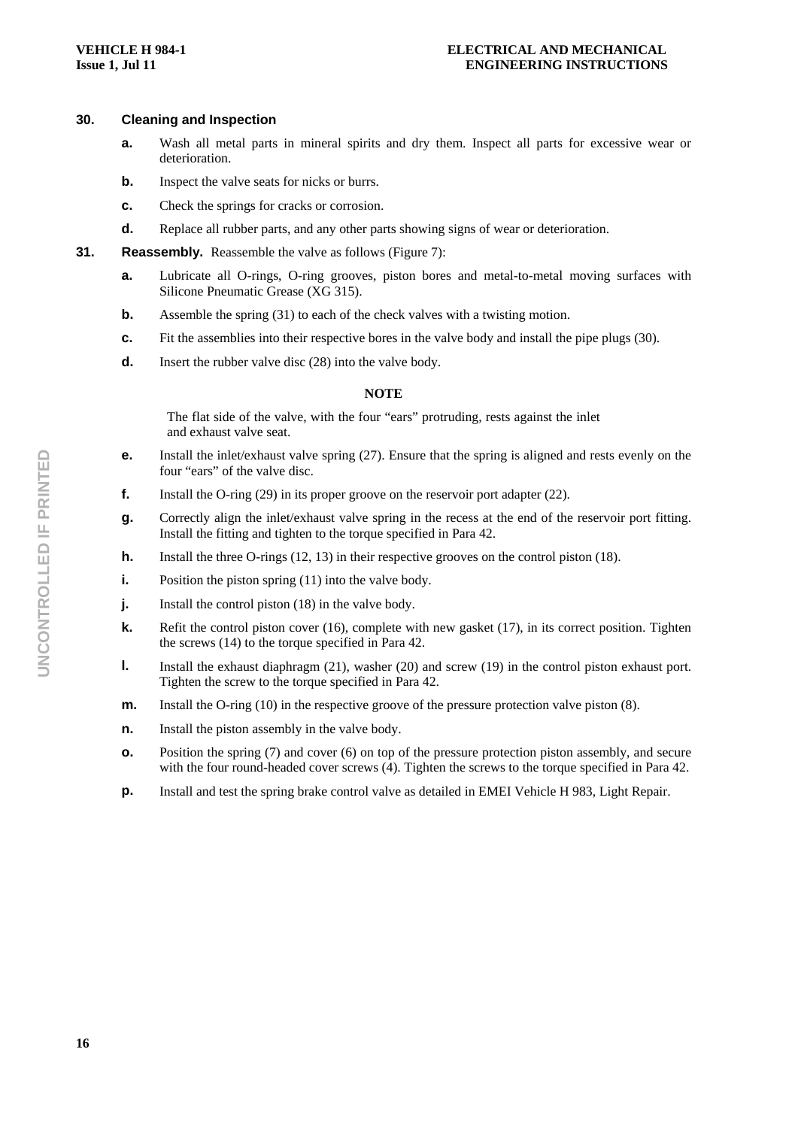# **30. Cleaning and Inspection**

- **a.**  Wash all metal parts in mineral spirits and dry them. Inspect all parts for excessive wear or deterioration.
- **b.**  Inspect the valve seats for nicks or burrs.
- **c.**  Check the springs for cracks or corrosion.
- **d.**  Replace all rubber parts, and any other parts showing signs of wear or deterioration.
- **31.** Reassembly. Reassemble the valve as follows (Figure 7):
	- **a.**  Lubricate all O-rings, O-ring grooves, piston bores and metal-to-metal moving surfaces with Silicone Pneumatic Grease (XG 315).
	- **b.**  Assemble the spring (31) to each of the check valves with a twisting motion.
	- **c.**  Fit the assemblies into their respective bores in the valve body and install the pipe plugs (30).
	- **d.**  Insert the rubber valve disc (28) into the valve body.

# **NOTE**

The flat side of the valve, with the four "ears" protruding, rests against the inlet and exhaust valve seat.

- **e.**  Install the inlet/exhaust valve spring (27). Ensure that the spring is aligned and rests evenly on the four "ears" of the valve disc.
- **f.**  Install the O-ring (29) in its proper groove on the reservoir port adapter (22).
- **g.**  Correctly align the inlet/exhaust valve spring in the recess at the end of the reservoir port fitting. Install the fitting and tighten to the torque specified in Para 42.
- **h.**  Install the three O-rings (12, 13) in their respective grooves on the control piston (18).
- **i.**  Position the piston spring (11) into the valve body.
- **j.**  Install the control piston (18) in the valve body.
- **k.**  Refit the control piston cover (16), complete with new gasket (17), in its correct position. Tighten the screws (14) to the torque specified in Para 42.
- **l.**  Install the exhaust diaphragm (21), washer (20) and screw (19) in the control piston exhaust port. Tighten the screw to the torque specified in Para 42.
- **m.**  Install the O-ring (10) in the respective groove of the pressure protection valve piston (8).
- **n.**  Install the piston assembly in the valve body.
- **o.**  Position the spring (7) and cover (6) on top of the pressure protection piston assembly, and secure with the four round-headed cover screws (4). Tighten the screws to the torque specified in Para 42.
- **p.**  Install and test the spring brake control valve as detailed in EMEI Vehicle H 983, Light Repair.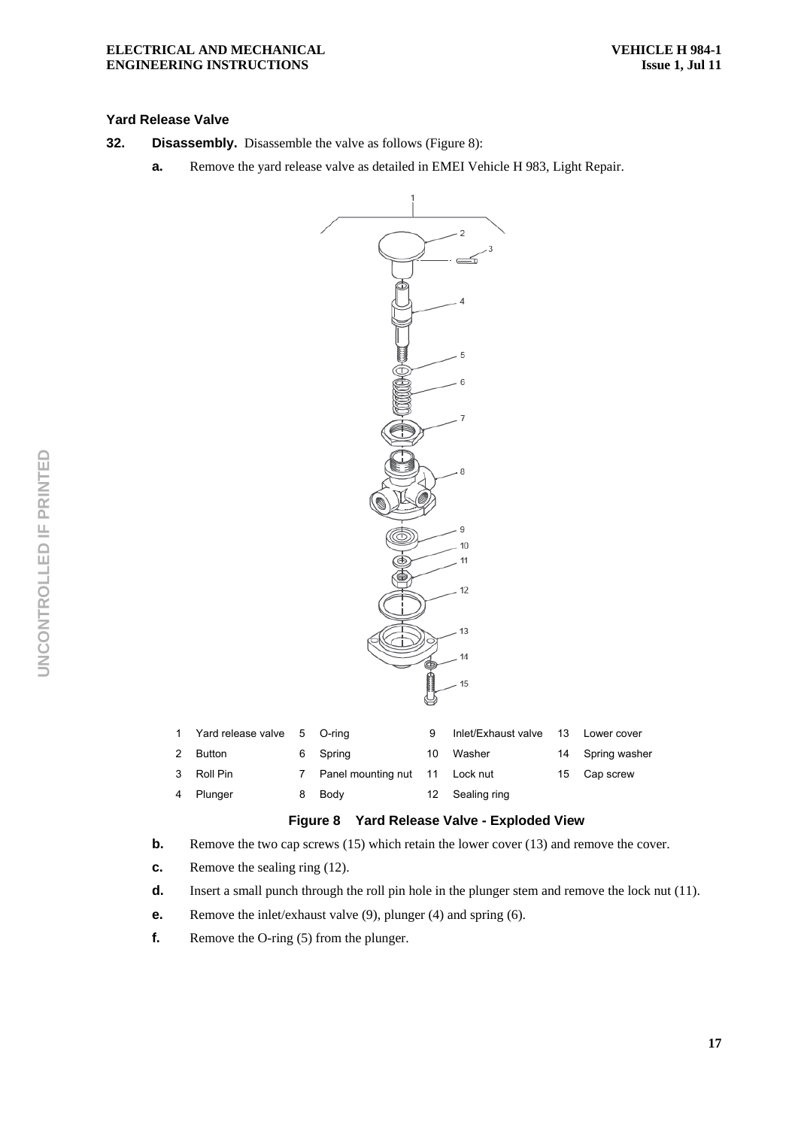# **Yard Release Valve**

- **32. Disassembly.** Disassemble the valve as follows (Figure 8):
	- **a.** Remove the yard release valve as detailed in EMEI Vehicle H 983, Light Repair.



**b.**  Remove the two cap screws (15) which retain the lower cover (13) and remove the cover.

- **c.**  Remove the sealing ring (12).
- **d.**  Insert a small punch through the roll pin hole in the plunger stem and remove the lock nut (11).
- **e.**  Remove the inlet/exhaust valve (9), plunger (4) and spring (6).
- **f.**  Remove the O-ring (5) from the plunger.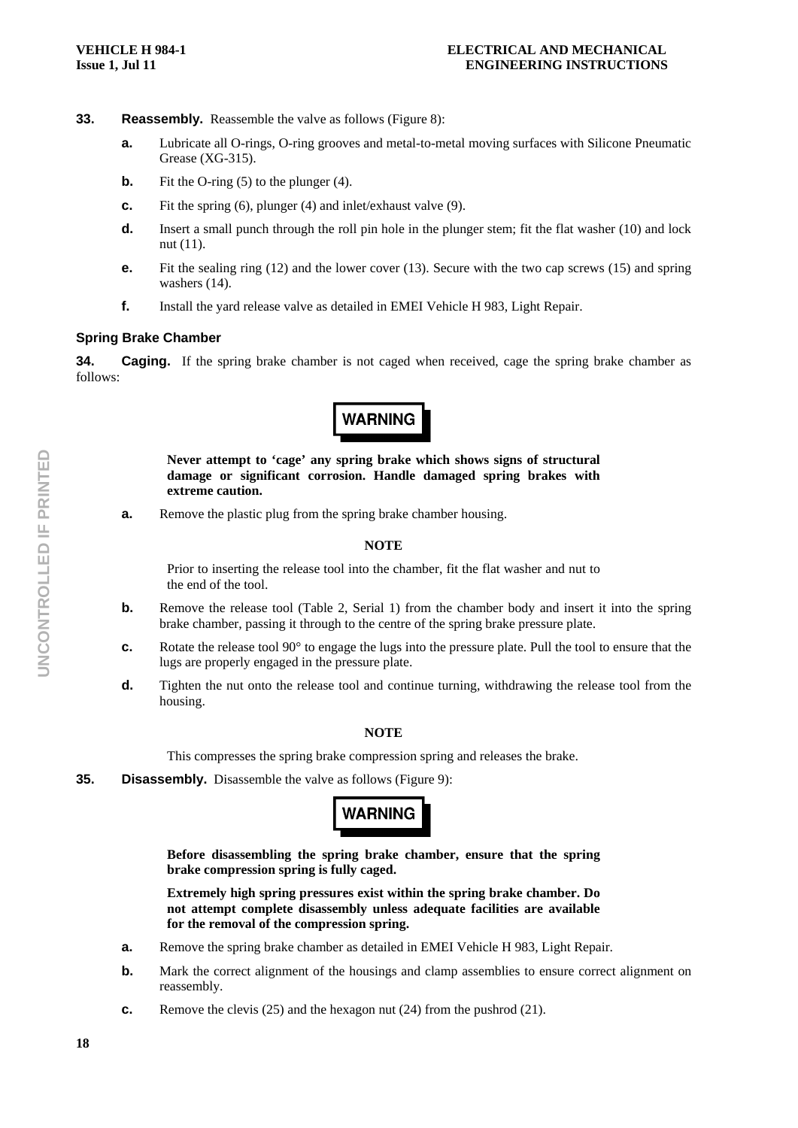- **33.** Reassembly. Reassemble the valve as follows (Figure 8):
	- **a.**  Lubricate all O-rings, O-ring grooves and metal-to-metal moving surfaces with Silicone Pneumatic Grease (XG-315).
	- **b.**  Fit the O-ring (5) to the plunger (4).
	- **c.**  Fit the spring (6), plunger (4) and inlet/exhaust valve (9).
	- **d.**  Insert a small punch through the roll pin hole in the plunger stem; fit the flat washer (10) and lock nut (11).
	- **e.**  Fit the sealing ring (12) and the lower cover (13). Secure with the two cap screws (15) and spring washers (14).
	- **f.**  Install the yard release valve as detailed in EMEI Vehicle H 983, Light Repair.

# **Spring Brake Chamber**

**34. Caging.** If the spring brake chamber is not caged when received, cage the spring brake chamber as follows:



**Never attempt to 'cage' any spring brake which shows signs of structural damage or significant corrosion. Handle damaged spring brakes with extreme caution.** 

**a.**  Remove the plastic plug from the spring brake chamber housing.

# **NOTE**

Prior to inserting the release tool into the chamber, fit the flat washer and nut to the end of the tool.

- **b.**  Remove the release tool (Table 2, Serial 1) from the chamber body and insert it into the spring brake chamber, passing it through to the centre of the spring brake pressure plate.
- **c.**  Rotate the release tool 90° to engage the lugs into the pressure plate. Pull the tool to ensure that the lugs are properly engaged in the pressure plate.
- **d.**  Tighten the nut onto the release tool and continue turning, withdrawing the release tool from the housing.

# **NOTE**

This compresses the spring brake compression spring and releases the brake.

**35.** Disassembly. Disassemble the valve as follows (Figure 9):



**Before disassembling the spring brake chamber, ensure that the spring brake compression spring is fully caged.** 

**Extremely high spring pressures exist within the spring brake chamber. Do not attempt complete disassembly unless adequate facilities are available for the removal of the compression spring.** 

- **a.**  Remove the spring brake chamber as detailed in EMEI Vehicle H 983, Light Repair.
- **b.**  Mark the correct alignment of the housings and clamp assemblies to ensure correct alignment on reassembly.
- **c.**  Remove the clevis (25) and the hexagon nut (24) from the pushrod (21).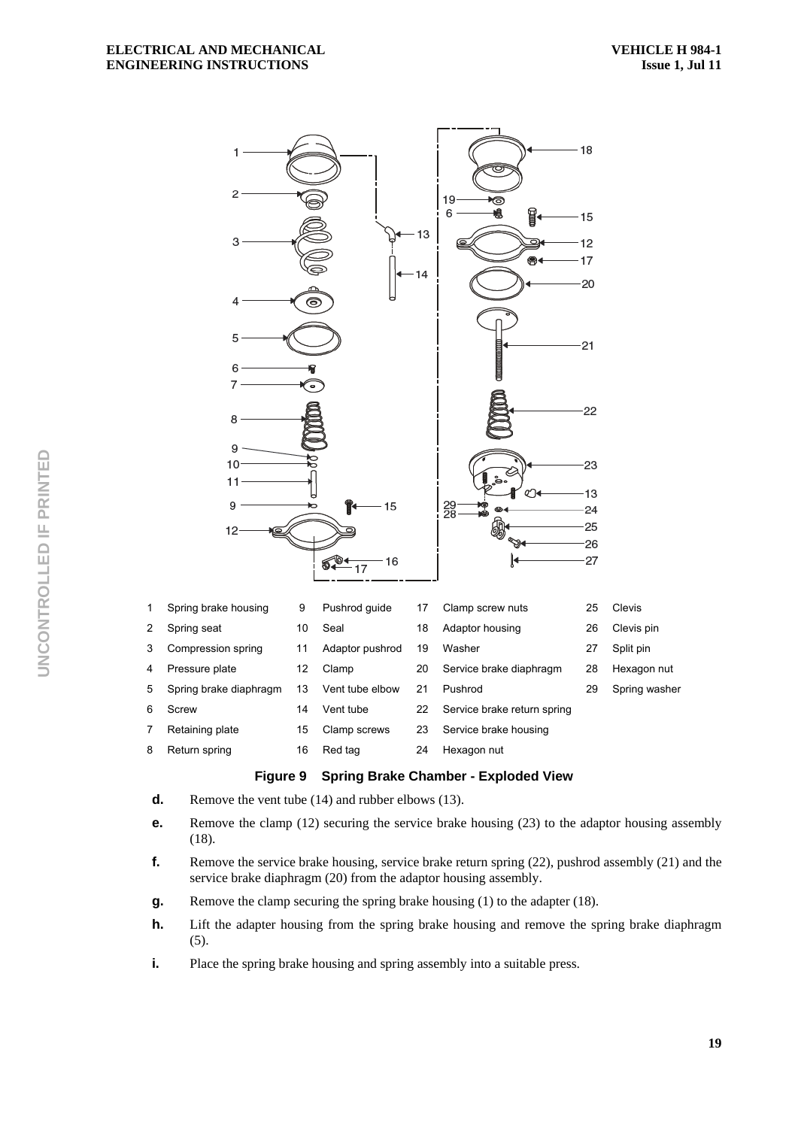

#### **Figure Spring Brake Chamber - Exploded View**

- **d.**  Remove the vent tube (14) and rubber elbows (13).
- **e.**  Remove the clamp (12) securing the service brake housing (23) to the adaptor housing assembly (18).
- **f.**  Remove the service brake housing, service brake return spring (22), pushrod assembly (21) and the service brake diaphragm (20) from the adaptor housing assembly.
- **g.**  Remove the clamp securing the spring brake housing (1) to the adapter (18).
- **h.**  Lift the adapter housing from the spring brake housing and remove the spring brake diaphragm (5).
- **i.**  Place the spring brake housing and spring assembly into a suitable press.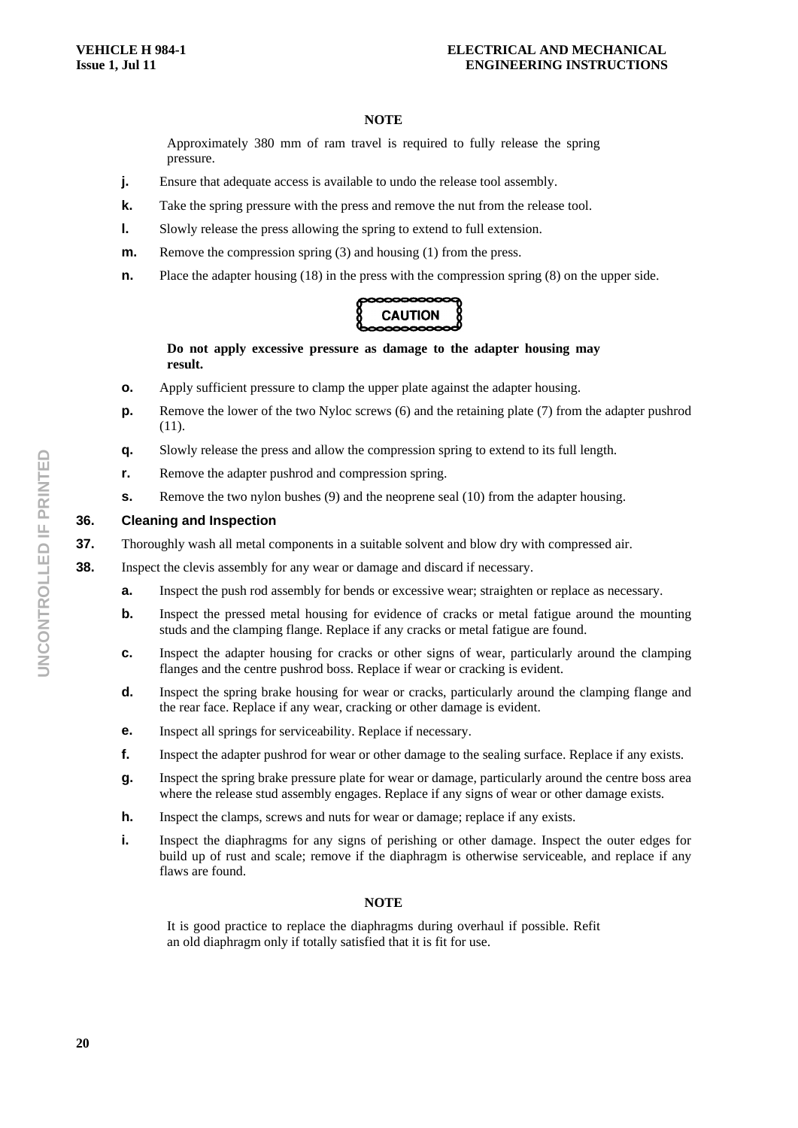# **NOTE**

Approximately 380 mm of ram travel is required to fully release the spring pressure.

- **j.**  Ensure that adequate access is available to undo the release tool assembly.
- **k.**  Take the spring pressure with the press and remove the nut from the release tool.
- **l.**  Slowly release the press allowing the spring to extend to full extension.
- **m.**  Remove the compression spring (3) and housing (1) from the press.
- **n.**  Place the adapter housing (18) in the press with the compression spring (8) on the upper side.



**Do not apply excessive pressure as damage to the adapter housing may result.** 

- **o.**  Apply sufficient pressure to clamp the upper plate against the adapter housing.
- **p.**  Remove the lower of the two Nyloc screws (6) and the retaining plate (7) from the adapter pushrod (11).
- **q.**  Slowly release the press and allow the compression spring to extend to its full length.
- **r.**  Remove the adapter pushrod and compression spring.
- **s.**  Remove the two nylon bushes (9) and the neoprene seal (10) from the adapter housing.

# **36. Cleaning and Inspection**

**37.** Thoroughly wash all metal components in a suitable solvent and blow dry with compressed air.

**38.** Inspect the clevis assembly for any wear or damage and discard if necessary.

- **a.**  Inspect the push rod assembly for bends or excessive wear; straighten or replace as necessary.
- **b.**  Inspect the pressed metal housing for evidence of cracks or metal fatigue around the mounting studs and the clamping flange. Replace if any cracks or metal fatigue are found.
- **c.**  Inspect the adapter housing for cracks or other signs of wear, particularly around the clamping flanges and the centre pushrod boss. Replace if wear or cracking is evident.
- **d.**  Inspect the spring brake housing for wear or cracks, particularly around the clamping flange and the rear face. Replace if any wear, cracking or other damage is evident.
- **e.**  Inspect all springs for serviceability. Replace if necessary.
- **f.**  Inspect the adapter pushrod for wear or other damage to the sealing surface. Replace if any exists.
- **g.**  Inspect the spring brake pressure plate for wear or damage, particularly around the centre boss area where the release stud assembly engages. Replace if any signs of wear or other damage exists.
- **h.**  Inspect the clamps, screws and nuts for wear or damage; replace if any exists.
- **i.**  Inspect the diaphragms for any signs of perishing or other damage. Inspect the outer edges for build up of rust and scale; remove if the diaphragm is otherwise serviceable, and replace if any flaws are found.

# **NOTE**

It is good practice to replace the diaphragms during overhaul if possible. Refit an old diaphragm only if totally satisfied that it is fit for use.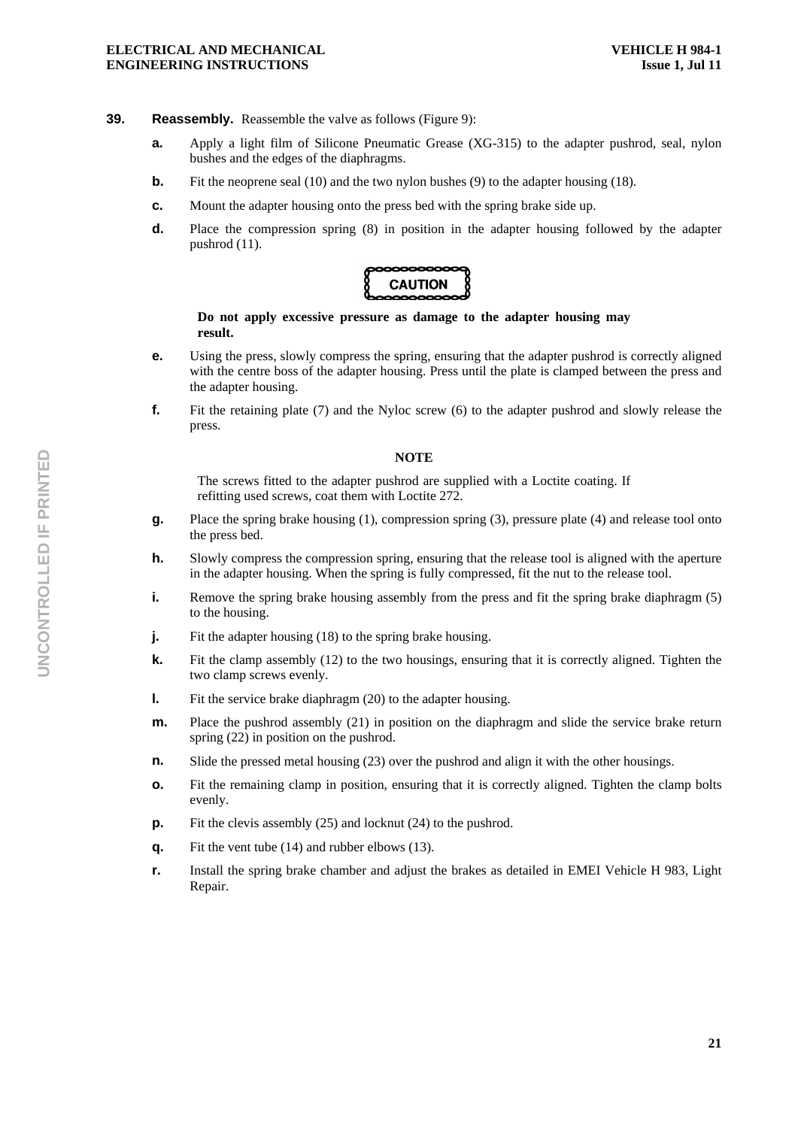#### **39. Reassembly.** Reassemble the valve as follows (Figure 9):

- **a.**  Apply a light film of Silicone Pneumatic Grease (XG-315) to the adapter pushrod, seal, nylon bushes and the edges of the diaphragms.
- **b.**  Fit the neoprene seal (10) and the two nylon bushes (9) to the adapter housing (18).
- **c.**  Mount the adapter housing onto the press bed with the spring brake side up.
- **d.**  Place the compression spring (8) in position in the adapter housing followed by the adapter pushrod (11).



#### **Do not apply excessive pressure as damage to the adapter housing may result.**

- **e.**  Using the press, slowly compress the spring, ensuring that the adapter pushrod is correctly aligned with the centre boss of the adapter housing. Press until the plate is clamped between the press and the adapter housing.
- **f.**  Fit the retaining plate (7) and the Nyloc screw (6) to the adapter pushrod and slowly release the press.

#### **NOTE**

The screws fitted to the adapter pushrod are supplied with a Loctite coating. If refitting used screws, coat them with Loctite 272.

- **g.**  Place the spring brake housing (1), compression spring (3), pressure plate (4) and release tool onto the press bed.
- **h.**  Slowly compress the compression spring, ensuring that the release tool is aligned with the aperture in the adapter housing. When the spring is fully compressed, fit the nut to the release tool.
- **i.**  Remove the spring brake housing assembly from the press and fit the spring brake diaphragm (5) to the housing.
- **j.**  Fit the adapter housing (18) to the spring brake housing.
- **k.**  Fit the clamp assembly (12) to the two housings, ensuring that it is correctly aligned. Tighten the two clamp screws evenly.
- **l.**  Fit the service brake diaphragm (20) to the adapter housing.
- **m.**  Place the pushrod assembly (21) in position on the diaphragm and slide the service brake return spring (22) in position on the pushrod.
- **n.**  Slide the pressed metal housing (23) over the pushrod and align it with the other housings.
- **o.**  Fit the remaining clamp in position, ensuring that it is correctly aligned. Tighten the clamp bolts evenly.
- **p.**  Fit the clevis assembly (25) and locknut (24) to the pushrod.
- **q.**  Fit the vent tube (14) and rubber elbows (13).
- **r.**  Install the spring brake chamber and adjust the brakes as detailed in EMEI Vehicle H 983, Light Repair.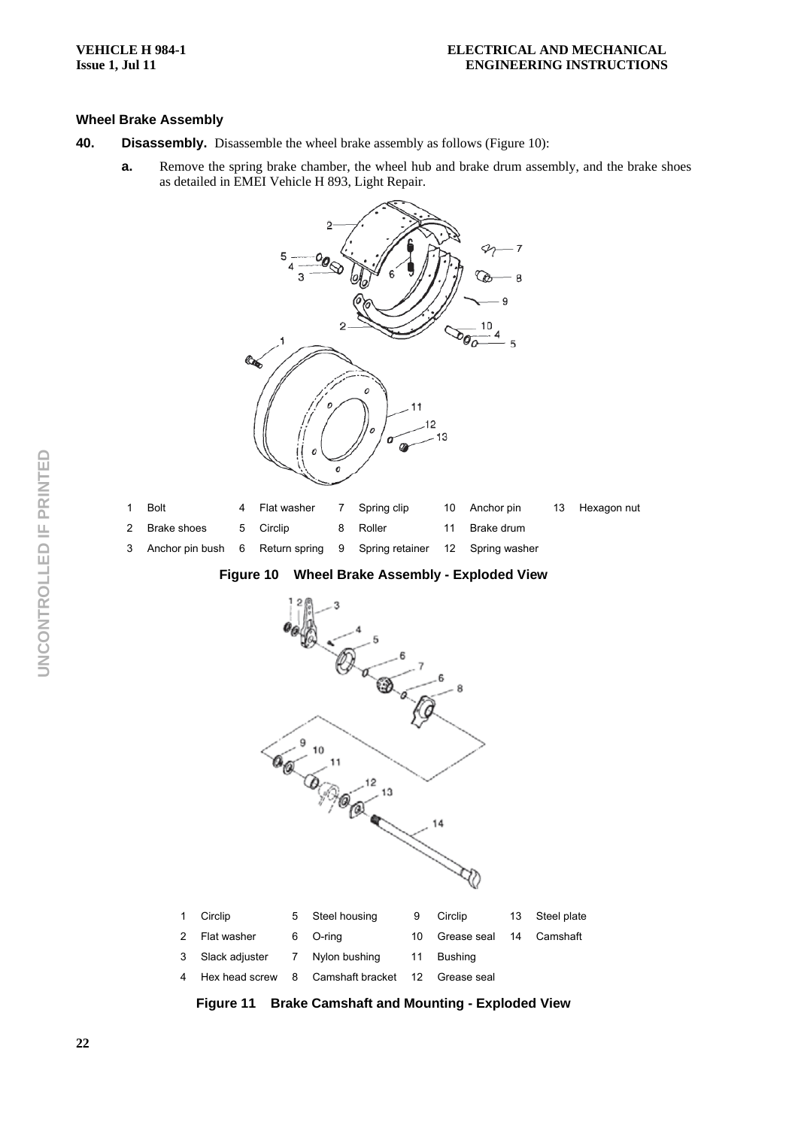# **Wheel Brake Assembly**

- **40. Disassembly.** Disassemble the wheel brake assembly as follows (Figure 10):
	- **a.** Remove the spring brake chamber, the wheel hub and brake drum assembly, and the brake shoes as detailed in EMEI Vehicle H 893, Light Repair.



**Figure 11 Brake Camshaft and Mounting - Exploded View**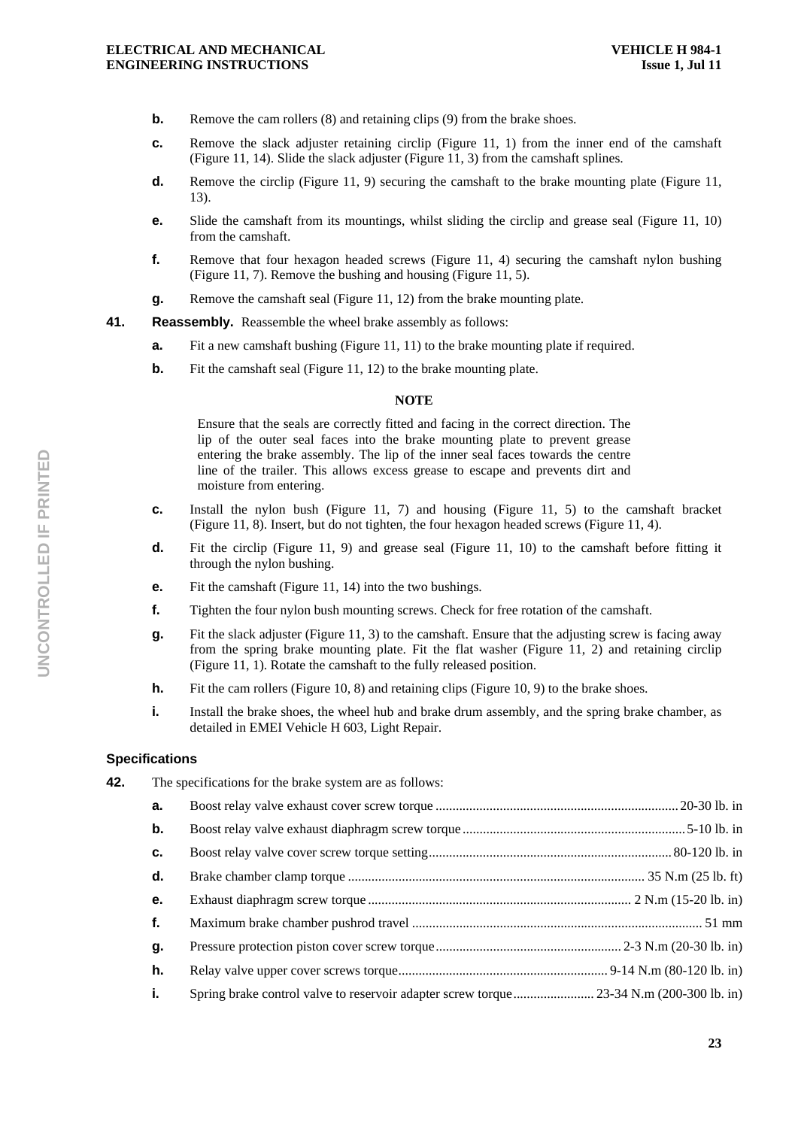- **b.**  Remove the cam rollers (8) and retaining clips (9) from the brake shoes.
- **c.**  Remove the slack adjuster retaining circlip (Figure 11, 1) from the inner end of the camshaft (Figure 11, 14). Slide the slack adjuster (Figure 11, 3) from the camshaft splines.
- **d.**  Remove the circlip (Figure 11, 9) securing the camshaft to the brake mounting plate (Figure 11, 13).
- **e.**  Slide the camshaft from its mountings, whilst sliding the circlip and grease seal (Figure 11, 10) from the camshaft.
- **f.**  Remove that four hexagon headed screws (Figure 11, 4) securing the camshaft nylon bushing (Figure 11, 7). Remove the bushing and housing (Figure 11, 5).
- **g.**  Remove the camshaft seal (Figure 11, 12) from the brake mounting plate.

**41. Reassembly.** Reassemble the wheel brake assembly as follows:

- **a.**  Fit a new camshaft bushing (Figure 11, 11) to the brake mounting plate if required.
- **b.**  Fit the camshaft seal (Figure 11, 12) to the brake mounting plate.

#### **NOTE**

Ensure that the seals are correctly fitted and facing in the correct direction. The lip of the outer seal faces into the brake mounting plate to prevent grease entering the brake assembly. The lip of the inner seal faces towards the centre line of the trailer. This allows excess grease to escape and prevents dirt and moisture from entering.

- **c.**  Install the nylon bush (Figure 11, 7) and housing (Figure 11, 5) to the camshaft bracket (Figure 11, 8). Insert, but do not tighten, the four hexagon headed screws (Figure 11, 4).
- **d.**  Fit the circlip (Figure 11, 9) and grease seal (Figure 11, 10) to the camshaft before fitting it through the nylon bushing.
- **e.**  Fit the camshaft (Figure 11, 14) into the two bushings.
- **f.**  Tighten the four nylon bush mounting screws. Check for free rotation of the camshaft.
- **g.**  Fit the slack adjuster (Figure 11, 3) to the camshaft. Ensure that the adjusting screw is facing away from the spring brake mounting plate. Fit the flat washer (Figure 11, 2) and retaining circlip (Figure 11, 1). Rotate the camshaft to the fully released position.
- **h.**  Fit the cam rollers (Figure 10, 8) and retaining clips (Figure 10, 9) to the brake shoes.
- **i.**  Install the brake shoes, the wheel hub and brake drum assembly, and the spring brake chamber, as detailed in EMEI Vehicle H 603, Light Repair.

# **Specifications**

| 42. | The specifications for the brake system are as follows: |  |  |  |
|-----|---------------------------------------------------------|--|--|--|
|     | а.                                                      |  |  |  |
|     | b.                                                      |  |  |  |
|     | c.                                                      |  |  |  |
|     | d.                                                      |  |  |  |
|     | е.                                                      |  |  |  |
|     | f.                                                      |  |  |  |
|     | g.                                                      |  |  |  |
|     | h.                                                      |  |  |  |
|     | i.                                                      |  |  |  |
|     |                                                         |  |  |  |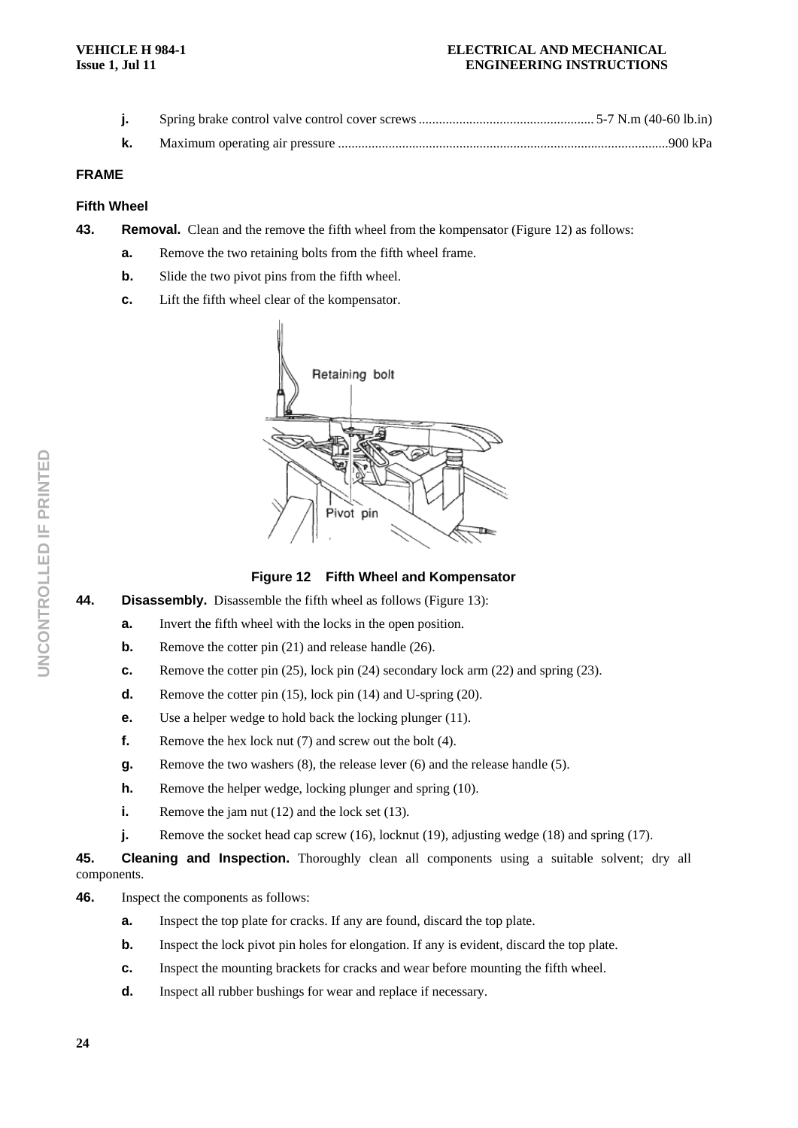# **FRAME**

# **Fifth Wheel**

- **43. Removal.** Clean and the remove the fifth wheel from the kompensator (Figure 12) as follows:
	- **a.**  Remove the two retaining bolts from the fifth wheel frame.
	- **b.**  Slide the two pivot pins from the fifth wheel.
	- **c.**  Lift the fifth wheel clear of the kompensator.



**Figure 12 Fifth Wheel and Kompensator** 

- **44. Disassembly.** Disassemble the fifth wheel as follows (Figure 13):
	- **a.**  Invert the fifth wheel with the locks in the open position.
	- **b.**  Remove the cotter pin (21) and release handle (26).
	- **c.**  Remove the cotter pin (25), lock pin (24) secondary lock arm (22) and spring (23).
	- **d.**  Remove the cotter pin (15), lock pin (14) and U-spring (20).
	- **e.**  Use a helper wedge to hold back the locking plunger (11).
	- **f.**  Remove the hex lock nut (7) and screw out the bolt (4).
	- **g.**  Remove the two washers (8), the release lever (6) and the release handle (5).
	- **h.**  Remove the helper wedge, locking plunger and spring (10).
	- **i.**  Remove the jam nut (12) and the lock set (13).
	- **j.**  Remove the socket head cap screw (16), locknut (19), adjusting wedge (18) and spring (17).

**45. Cleaning and Inspection.** Thoroughly clean all components using a suitable solvent; dry all components.

- **46.** Inspect the components as follows:
	- **a.**  Inspect the top plate for cracks. If any are found, discard the top plate.
	- **b.**  Inspect the lock pivot pin holes for elongation. If any is evident, discard the top plate.
	- **c.**  Inspect the mounting brackets for cracks and wear before mounting the fifth wheel.
	- **d.**  Inspect all rubber bushings for wear and replace if necessary.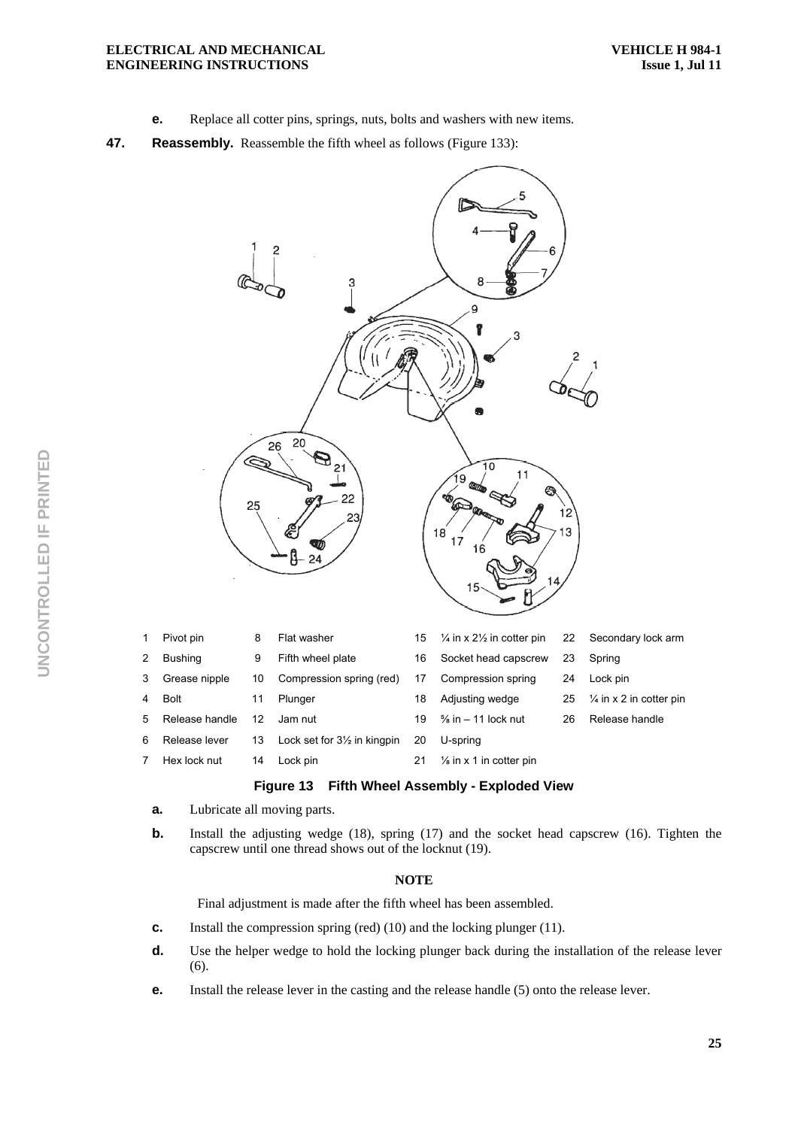- **e.** Replace all cotter pins, springs, nuts, bolts and washers with new items.
- **47. Reassembly.** Reassemble the fifth wheel as follows (Figure 133):



7 Hex lock nut 14 Lock pin 21 1/<sub>8</sub> in x 1 in cotter pin

# **Figure 13 Fifth Wheel Assembly - Exploded View**

- **a.**  Lubricate all moving parts.
- **b.**  Install the adjusting wedge (18), spring (17) and the socket head capscrew (16). Tighten the capscrew until one thread shows out of the locknut (19).

# **NOTE**

Final adjustment is made after the fifth wheel has been assembled.

- **c.**  Install the compression spring (red) (10) and the locking plunger (11).
- **d.**  Use the helper wedge to hold the locking plunger back during the installation of the release lever (6).
- **e.**  Install the release lever in the casting and the release handle (5) onto the release lever.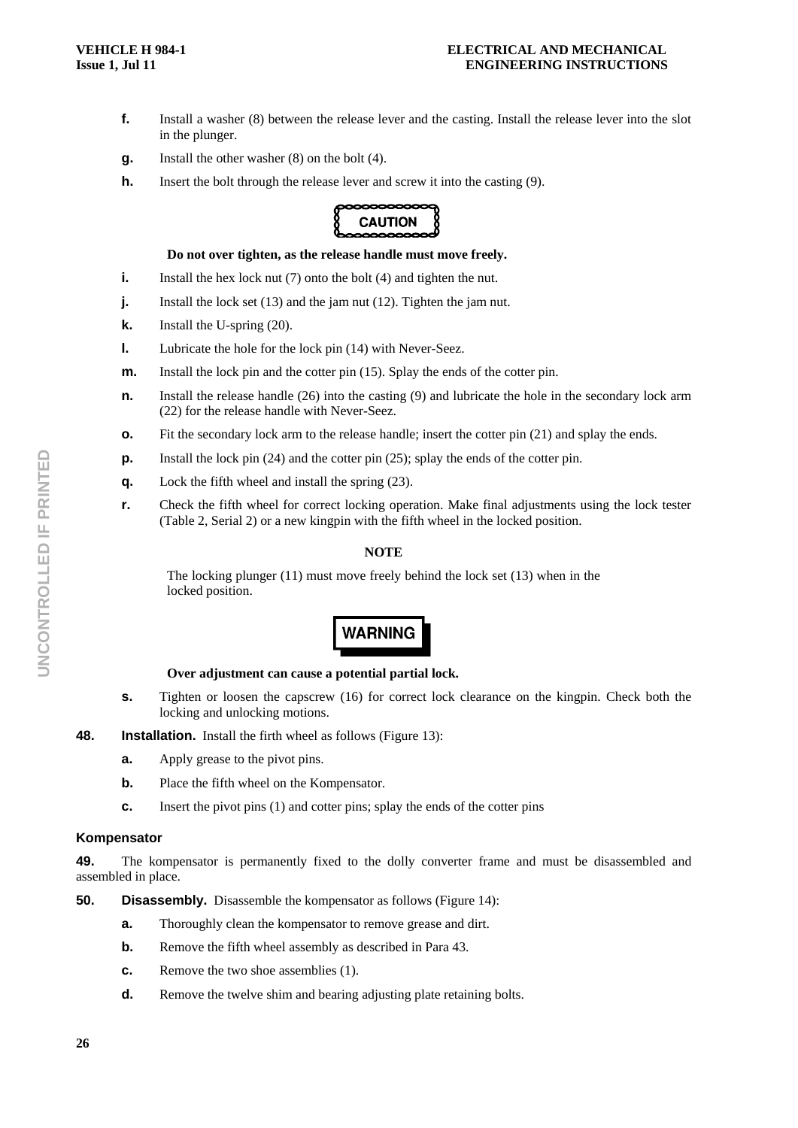- **f.**  Install a washer (8) between the release lever and the casting. Install the release lever into the slot in the plunger.
- **g.**  Install the other washer (8) on the bolt (4).
- **h.**  Insert the bolt through the release lever and screw it into the casting (9).



#### **Do not over tighten, as the release handle must move freely.**

- **i.**  Install the hex lock nut (7) onto the bolt (4) and tighten the nut.
- **j.**  Install the lock set (13) and the jam nut (12). Tighten the jam nut.
- **k.**  Install the U-spring (20).
- **l.**  Lubricate the hole for the lock pin (14) with Never-Seez.
- **m.**  Install the lock pin and the cotter pin (15). Splay the ends of the cotter pin.
- **n.**  Install the release handle (26) into the casting (9) and lubricate the hole in the secondary lock arm (22) for the release handle with Never-Seez.
- **o.**  Fit the secondary lock arm to the release handle; insert the cotter pin (21) and splay the ends.
- **p.**  Install the lock pin (24) and the cotter pin (25); splay the ends of the cotter pin.
- **q.**  Lock the fifth wheel and install the spring (23).
- **r.**  Check the fifth wheel for correct locking operation. Make final adjustments using the lock tester (Table 2, Serial 2) or a new kingpin with the fifth wheel in the locked position.

#### **NOTE**

The locking plunger (11) must move freely behind the lock set (13) when in the locked position.

# **WARNING**

# **Over adjustment can cause a potential partial lock.**

- **s.**  Tighten or loosen the capscrew (16) for correct lock clearance on the kingpin. Check both the locking and unlocking motions.
- **48.** Installation. Install the firth wheel as follows (Figure 13):
	- **a.**  Apply grease to the pivot pins.
	- **b.**  Place the fifth wheel on the Kompensator.
	- **c.**  Insert the pivot pins (1) and cotter pins; splay the ends of the cotter pins

#### **Kompensator**

**49.** The kompensator is permanently fixed to the dolly converter frame and must be disassembled and assembled in place.

- **50. Disassembly.** Disassemble the kompensator as follows (Figure 14):
	- **a.**  Thoroughly clean the kompensator to remove grease and dirt.
	- **b.**  Remove the fifth wheel assembly as described in Para 43.
	- **c.**  Remove the two shoe assemblies (1).
	- **d.**  Remove the twelve shim and bearing adjusting plate retaining bolts.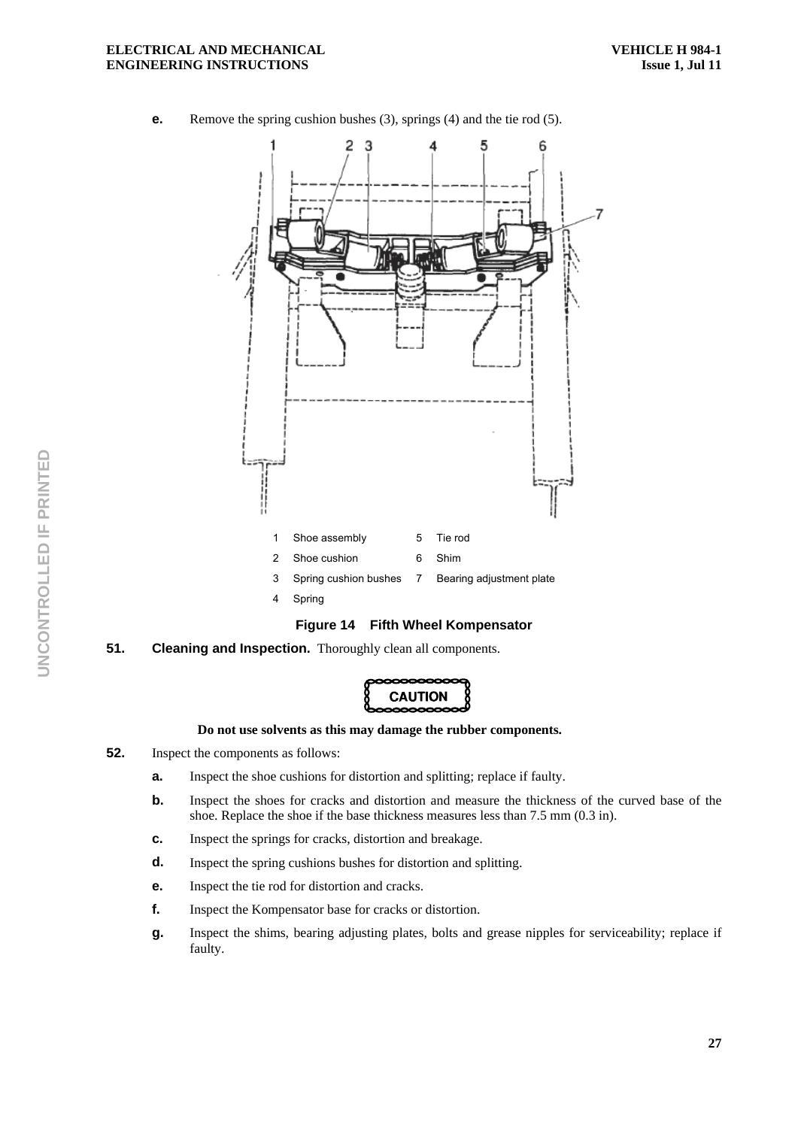- $\overline{2}$ 3 д 6 1 Shoe assembly 5 Tie rod 2 Shoe cushion 6 Shim 3 Spring cushion bushes 7 Bearing adjustment plate 4 Spring
- **e.** Remove the spring cushion bushes (3), springs (4) and the tie rod (5).

# **Figure 14 Fifth Wheel Kompensator**

**51.** Cleaning and Inspection. Thoroughly clean all components.



# **Do not use solvents as this may damage the rubber components.**

- **52.** Inspect the components as follows:
	- **a.**  Inspect the shoe cushions for distortion and splitting; replace if faulty.
	- **b.**  Inspect the shoes for cracks and distortion and measure the thickness of the curved base of the shoe. Replace the shoe if the base thickness measures less than 7.5 mm (0.3 in).
	- **c.**  Inspect the springs for cracks, distortion and breakage.
	- **d.**  Inspect the spring cushions bushes for distortion and splitting.
	- **e.**  Inspect the tie rod for distortion and cracks.
	- **f.**  Inspect the Kompensator base for cracks or distortion.
	- **g.**  Inspect the shims, bearing adjusting plates, bolts and grease nipples for serviceability; replace if faulty.